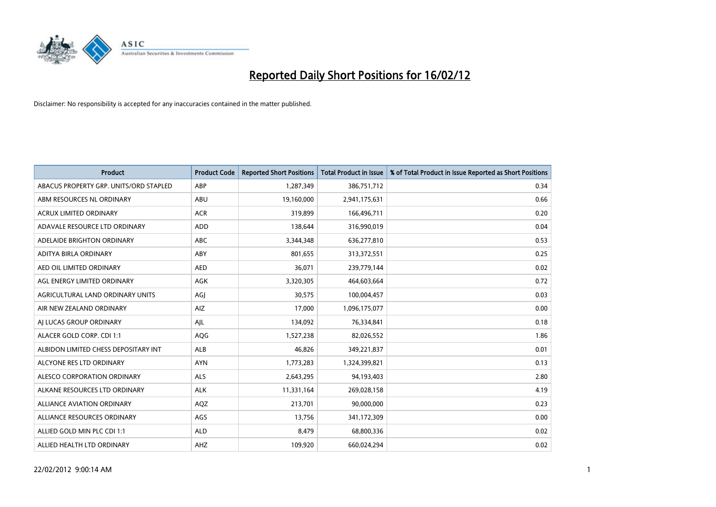

| <b>Product</b>                         | <b>Product Code</b> | <b>Reported Short Positions</b> | <b>Total Product in Issue</b> | % of Total Product in Issue Reported as Short Positions |
|----------------------------------------|---------------------|---------------------------------|-------------------------------|---------------------------------------------------------|
| ABACUS PROPERTY GRP. UNITS/ORD STAPLED | ABP                 | 1,287,349                       | 386,751,712                   | 0.34                                                    |
| ABM RESOURCES NL ORDINARY              | ABU                 | 19,160,000                      | 2,941,175,631                 | 0.66                                                    |
| <b>ACRUX LIMITED ORDINARY</b>          | <b>ACR</b>          | 319,899                         | 166,496,711                   | 0.20                                                    |
| ADAVALE RESOURCE LTD ORDINARY          | ADD                 | 138,644                         | 316,990,019                   | 0.04                                                    |
| ADELAIDE BRIGHTON ORDINARY             | <b>ABC</b>          | 3,344,348                       | 636,277,810                   | 0.53                                                    |
| ADITYA BIRLA ORDINARY                  | ABY                 | 801,655                         | 313,372,551                   | 0.25                                                    |
| AED OIL LIMITED ORDINARY               | <b>AED</b>          | 36,071                          | 239,779,144                   | 0.02                                                    |
| AGL ENERGY LIMITED ORDINARY            | AGK                 | 3,320,305                       | 464,603,664                   | 0.72                                                    |
| AGRICULTURAL LAND ORDINARY UNITS       | AGJ                 | 30,575                          | 100,004,457                   | 0.03                                                    |
| AIR NEW ZEALAND ORDINARY               | <b>AIZ</b>          | 17,000                          | 1,096,175,077                 | 0.00                                                    |
| AI LUCAS GROUP ORDINARY                | AJL                 | 134,092                         | 76,334,841                    | 0.18                                                    |
| ALACER GOLD CORP. CDI 1:1              | AQG                 | 1,527,238                       | 82,026,552                    | 1.86                                                    |
| ALBIDON LIMITED CHESS DEPOSITARY INT   | ALB                 | 46,826                          | 349,221,837                   | 0.01                                                    |
| ALCYONE RES LTD ORDINARY               | <b>AYN</b>          | 1,773,283                       | 1,324,399,821                 | 0.13                                                    |
| ALESCO CORPORATION ORDINARY            | <b>ALS</b>          | 2,643,295                       | 94,193,403                    | 2.80                                                    |
| ALKANE RESOURCES LTD ORDINARY          | <b>ALK</b>          | 11,331,164                      | 269,028,158                   | 4.19                                                    |
| ALLIANCE AVIATION ORDINARY             | AQZ                 | 213,701                         | 90,000,000                    | 0.23                                                    |
| ALLIANCE RESOURCES ORDINARY            | AGS                 | 13,756                          | 341,172,309                   | 0.00                                                    |
| ALLIED GOLD MIN PLC CDI 1:1            | <b>ALD</b>          | 8,479                           | 68,800,336                    | 0.02                                                    |
| ALLIED HEALTH LTD ORDINARY             | AHZ                 | 109,920                         | 660,024,294                   | 0.02                                                    |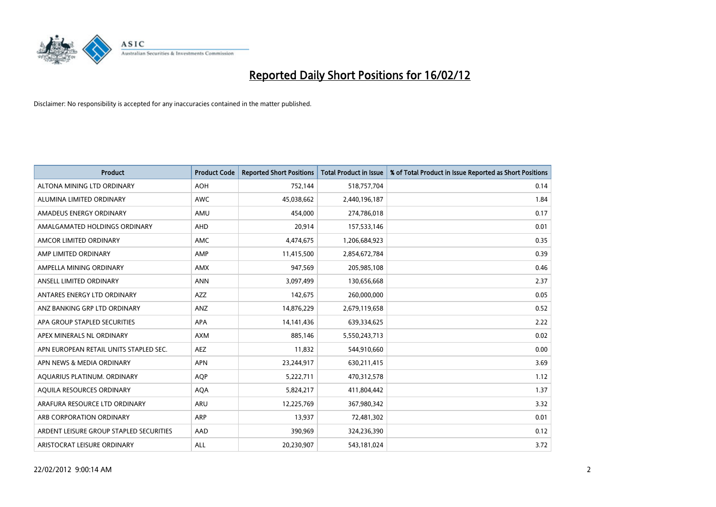

| Product                                 | <b>Product Code</b> | <b>Reported Short Positions</b> | <b>Total Product in Issue</b> | % of Total Product in Issue Reported as Short Positions |
|-----------------------------------------|---------------------|---------------------------------|-------------------------------|---------------------------------------------------------|
| ALTONA MINING LTD ORDINARY              | <b>AOH</b>          | 752,144                         | 518,757,704                   | 0.14                                                    |
| ALUMINA LIMITED ORDINARY                | <b>AWC</b>          | 45,038,662                      | 2,440,196,187                 | 1.84                                                    |
| AMADEUS ENERGY ORDINARY                 | AMU                 | 454,000                         | 274,786,018                   | 0.17                                                    |
| AMALGAMATED HOLDINGS ORDINARY           | AHD                 | 20,914                          | 157,533,146                   | 0.01                                                    |
| AMCOR LIMITED ORDINARY                  | <b>AMC</b>          | 4,474,675                       | 1,206,684,923                 | 0.35                                                    |
| AMP LIMITED ORDINARY                    | AMP                 | 11,415,500                      | 2,854,672,784                 | 0.39                                                    |
| AMPELLA MINING ORDINARY                 | <b>AMX</b>          | 947,569                         | 205,985,108                   | 0.46                                                    |
| ANSELL LIMITED ORDINARY                 | <b>ANN</b>          | 3,097,499                       | 130,656,668                   | 2.37                                                    |
| ANTARES ENERGY LTD ORDINARY             | AZZ                 | 142,675                         | 260,000,000                   | 0.05                                                    |
| ANZ BANKING GRP LTD ORDINARY            | ANZ                 | 14,876,229                      | 2,679,119,658                 | 0.52                                                    |
| APA GROUP STAPLED SECURITIES            | APA                 | 14, 141, 436                    | 639,334,625                   | 2.22                                                    |
| APEX MINERALS NL ORDINARY               | <b>AXM</b>          | 885,146                         | 5,550,243,713                 | 0.02                                                    |
| APN EUROPEAN RETAIL UNITS STAPLED SEC.  | AEZ                 | 11,832                          | 544,910,660                   | 0.00                                                    |
| APN NEWS & MEDIA ORDINARY               | <b>APN</b>          | 23,244,917                      | 630,211,415                   | 3.69                                                    |
| AQUARIUS PLATINUM. ORDINARY             | AQP                 | 5,222,711                       | 470,312,578                   | 1.12                                                    |
| AQUILA RESOURCES ORDINARY               | <b>AQA</b>          | 5,824,217                       | 411,804,442                   | 1.37                                                    |
| ARAFURA RESOURCE LTD ORDINARY           | <b>ARU</b>          | 12,225,769                      | 367,980,342                   | 3.32                                                    |
| ARB CORPORATION ORDINARY                | ARP                 | 13,937                          | 72,481,302                    | 0.01                                                    |
| ARDENT LEISURE GROUP STAPLED SECURITIES | AAD                 | 390,969                         | 324,236,390                   | 0.12                                                    |
| ARISTOCRAT LEISURE ORDINARY             | ALL                 | 20,230,907                      | 543,181,024                   | 3.72                                                    |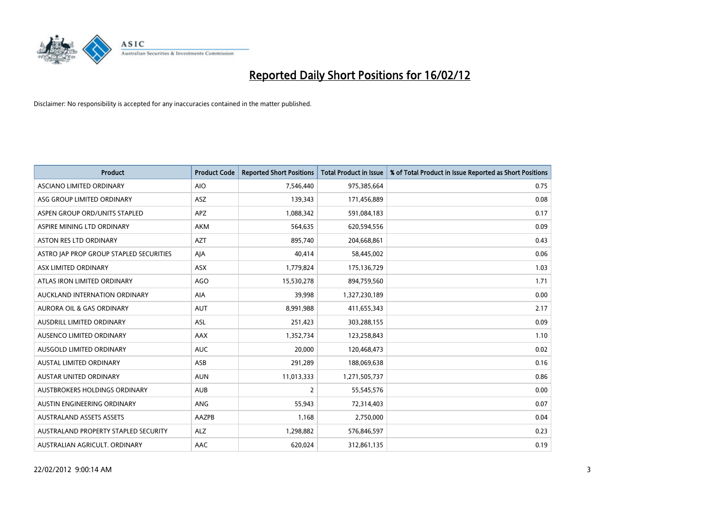

| <b>Product</b>                          | <b>Product Code</b> | <b>Reported Short Positions</b> | <b>Total Product in Issue</b> | % of Total Product in Issue Reported as Short Positions |
|-----------------------------------------|---------------------|---------------------------------|-------------------------------|---------------------------------------------------------|
| ASCIANO LIMITED ORDINARY                | <b>AIO</b>          | 7,546,440                       | 975,385,664                   | 0.75                                                    |
| ASG GROUP LIMITED ORDINARY              | ASZ                 | 139,343                         | 171,456,889                   | 0.08                                                    |
| ASPEN GROUP ORD/UNITS STAPLED           | <b>APZ</b>          | 1,088,342                       | 591,084,183                   | 0.17                                                    |
| ASPIRE MINING LTD ORDINARY              | <b>AKM</b>          | 564,635                         | 620,594,556                   | 0.09                                                    |
| <b>ASTON RES LTD ORDINARY</b>           | <b>AZT</b>          | 895,740                         | 204,668,861                   | 0.43                                                    |
| ASTRO JAP PROP GROUP STAPLED SECURITIES | AJA                 | 40,414                          | 58,445,002                    | 0.06                                                    |
| ASX LIMITED ORDINARY                    | ASX                 | 1,779,824                       | 175,136,729                   | 1.03                                                    |
| ATLAS IRON LIMITED ORDINARY             | <b>AGO</b>          | 15,530,278                      | 894,759,560                   | 1.71                                                    |
| AUCKLAND INTERNATION ORDINARY           | AIA                 | 39,998                          | 1,327,230,189                 | 0.00                                                    |
| AURORA OIL & GAS ORDINARY               | <b>AUT</b>          | 8,991,988                       | 411,655,343                   | 2.17                                                    |
| AUSDRILL LIMITED ORDINARY               | ASL                 | 251,423                         | 303,288,155                   | 0.09                                                    |
| AUSENCO LIMITED ORDINARY                | AAX                 | 1,352,734                       | 123,258,843                   | 1.10                                                    |
| AUSGOLD LIMITED ORDINARY                | <b>AUC</b>          | 20,000                          | 120,468,473                   | 0.02                                                    |
| <b>AUSTAL LIMITED ORDINARY</b>          | ASB                 | 291,289                         | 188,069,638                   | 0.16                                                    |
| AUSTAR UNITED ORDINARY                  | <b>AUN</b>          | 11,013,333                      | 1,271,505,737                 | 0.86                                                    |
| AUSTBROKERS HOLDINGS ORDINARY           | <b>AUB</b>          | 2                               | 55,545,576                    | 0.00                                                    |
| AUSTIN ENGINEERING ORDINARY             | ANG                 | 55,943                          | 72,314,403                    | 0.07                                                    |
| <b>AUSTRALAND ASSETS ASSETS</b>         | AAZPB               | 1,168                           | 2,750,000                     | 0.04                                                    |
| AUSTRALAND PROPERTY STAPLED SECURITY    | <b>ALZ</b>          | 1,298,882                       | 576,846,597                   | 0.23                                                    |
| AUSTRALIAN AGRICULT. ORDINARY           | AAC                 | 620,024                         | 312,861,135                   | 0.19                                                    |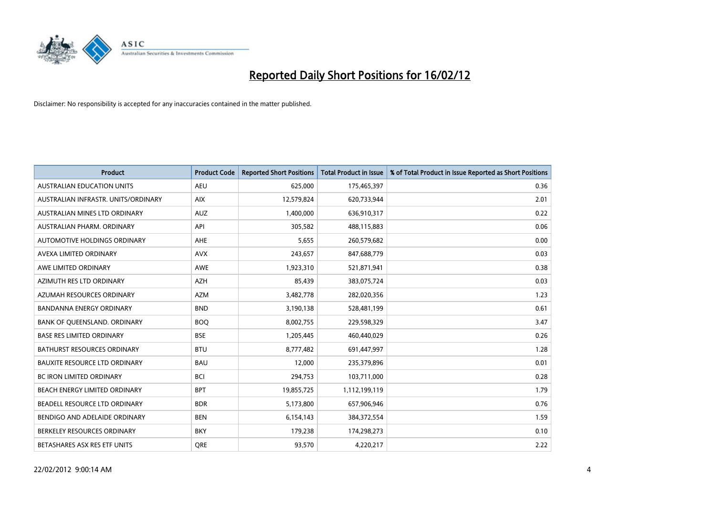

| <b>Product</b>                       | <b>Product Code</b> | <b>Reported Short Positions</b> | <b>Total Product in Issue</b> | % of Total Product in Issue Reported as Short Positions |
|--------------------------------------|---------------------|---------------------------------|-------------------------------|---------------------------------------------------------|
| <b>AUSTRALIAN EDUCATION UNITS</b>    | <b>AEU</b>          | 625,000                         | 175,465,397                   | 0.36                                                    |
| AUSTRALIAN INFRASTR. UNITS/ORDINARY  | <b>AIX</b>          | 12,579,824                      | 620,733,944                   | 2.01                                                    |
| AUSTRALIAN MINES LTD ORDINARY        | <b>AUZ</b>          | 1,400,000                       | 636,910,317                   | 0.22                                                    |
| AUSTRALIAN PHARM. ORDINARY           | API                 | 305,582                         | 488,115,883                   | 0.06                                                    |
| AUTOMOTIVE HOLDINGS ORDINARY         | AHE                 | 5,655                           | 260,579,682                   | 0.00                                                    |
| AVEXA LIMITED ORDINARY               | <b>AVX</b>          | 243,657                         | 847,688,779                   | 0.03                                                    |
| AWE LIMITED ORDINARY                 | <b>AWE</b>          | 1,923,310                       | 521,871,941                   | 0.38                                                    |
| AZIMUTH RES LTD ORDINARY             | <b>AZH</b>          | 85,439                          | 383,075,724                   | 0.03                                                    |
| AZUMAH RESOURCES ORDINARY            | <b>AZM</b>          | 3,482,778                       | 282,020,356                   | 1.23                                                    |
| <b>BANDANNA ENERGY ORDINARY</b>      | <b>BND</b>          | 3,190,138                       | 528,481,199                   | 0.61                                                    |
| BANK OF QUEENSLAND. ORDINARY         | <b>BOQ</b>          | 8,002,755                       | 229,598,329                   | 3.47                                                    |
| <b>BASE RES LIMITED ORDINARY</b>     | <b>BSE</b>          | 1,205,445                       | 460,440,029                   | 0.26                                                    |
| BATHURST RESOURCES ORDINARY          | <b>BTU</b>          | 8,777,482                       | 691,447,997                   | 1.28                                                    |
| <b>BAUXITE RESOURCE LTD ORDINARY</b> | <b>BAU</b>          | 12,000                          | 235,379,896                   | 0.01                                                    |
| <b>BC IRON LIMITED ORDINARY</b>      | <b>BCI</b>          | 294,753                         | 103,711,000                   | 0.28                                                    |
| BEACH ENERGY LIMITED ORDINARY        | <b>BPT</b>          | 19,855,725                      | 1,112,199,119                 | 1.79                                                    |
| BEADELL RESOURCE LTD ORDINARY        | <b>BDR</b>          | 5,173,800                       | 657,906,946                   | 0.76                                                    |
| BENDIGO AND ADELAIDE ORDINARY        | <b>BEN</b>          | 6,154,143                       | 384,372,554                   | 1.59                                                    |
| BERKELEY RESOURCES ORDINARY          | <b>BKY</b>          | 179,238                         | 174,298,273                   | 0.10                                                    |
| BETASHARES ASX RES ETF UNITS         | <b>ORE</b>          | 93,570                          | 4,220,217                     | 2.22                                                    |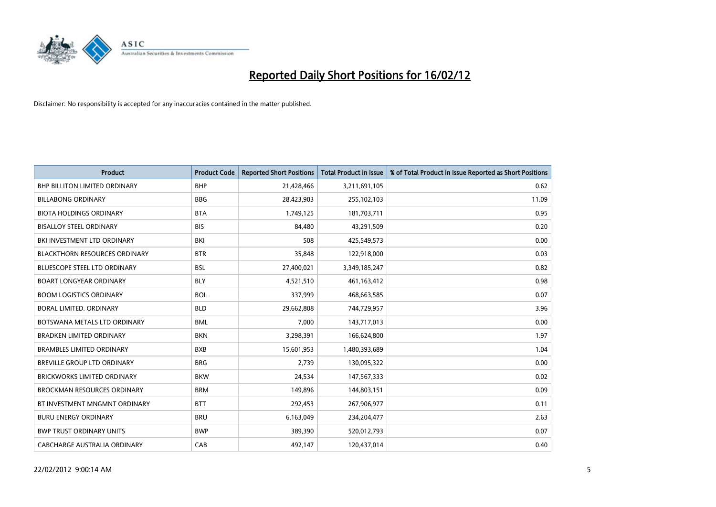

| <b>Product</b>                       | <b>Product Code</b> | <b>Reported Short Positions</b> | <b>Total Product in Issue</b> | % of Total Product in Issue Reported as Short Positions |
|--------------------------------------|---------------------|---------------------------------|-------------------------------|---------------------------------------------------------|
| <b>BHP BILLITON LIMITED ORDINARY</b> | <b>BHP</b>          | 21,428,466                      | 3,211,691,105                 | 0.62                                                    |
| <b>BILLABONG ORDINARY</b>            | <b>BBG</b>          | 28,423,903                      | 255,102,103                   | 11.09                                                   |
| <b>BIOTA HOLDINGS ORDINARY</b>       | <b>BTA</b>          | 1,749,125                       | 181,703,711                   | 0.95                                                    |
| <b>BISALLOY STEEL ORDINARY</b>       | <b>BIS</b>          | 84,480                          | 43,291,509                    | 0.20                                                    |
| BKI INVESTMENT LTD ORDINARY          | BKI                 | 508                             | 425,549,573                   | 0.00                                                    |
| <b>BLACKTHORN RESOURCES ORDINARY</b> | <b>BTR</b>          | 35,848                          | 122,918,000                   | 0.03                                                    |
| <b>BLUESCOPE STEEL LTD ORDINARY</b>  | <b>BSL</b>          | 27,400,021                      | 3,349,185,247                 | 0.82                                                    |
| <b>BOART LONGYEAR ORDINARY</b>       | <b>BLY</b>          | 4,521,510                       | 461,163,412                   | 0.98                                                    |
| <b>BOOM LOGISTICS ORDINARY</b>       | <b>BOL</b>          | 337,999                         | 468,663,585                   | 0.07                                                    |
| <b>BORAL LIMITED, ORDINARY</b>       | <b>BLD</b>          | 29,662,808                      | 744,729,957                   | 3.96                                                    |
| BOTSWANA METALS LTD ORDINARY         | <b>BML</b>          | 7,000                           | 143,717,013                   | 0.00                                                    |
| <b>BRADKEN LIMITED ORDINARY</b>      | <b>BKN</b>          | 3,298,391                       | 166,624,800                   | 1.97                                                    |
| <b>BRAMBLES LIMITED ORDINARY</b>     | <b>BXB</b>          | 15,601,953                      | 1,480,393,689                 | 1.04                                                    |
| BREVILLE GROUP LTD ORDINARY          | <b>BRG</b>          | 2.739                           | 130,095,322                   | 0.00                                                    |
| <b>BRICKWORKS LIMITED ORDINARY</b>   | <b>BKW</b>          | 24,534                          | 147,567,333                   | 0.02                                                    |
| <b>BROCKMAN RESOURCES ORDINARY</b>   | <b>BRM</b>          | 149,896                         | 144,803,151                   | 0.09                                                    |
| BT INVESTMENT MNGMNT ORDINARY        | <b>BTT</b>          | 292,453                         | 267,906,977                   | 0.11                                                    |
| <b>BURU ENERGY ORDINARY</b>          | <b>BRU</b>          | 6,163,049                       | 234,204,477                   | 2.63                                                    |
| <b>BWP TRUST ORDINARY UNITS</b>      | <b>BWP</b>          | 389,390                         | 520,012,793                   | 0.07                                                    |
| CABCHARGE AUSTRALIA ORDINARY         | CAB                 | 492.147                         | 120,437,014                   | 0.40                                                    |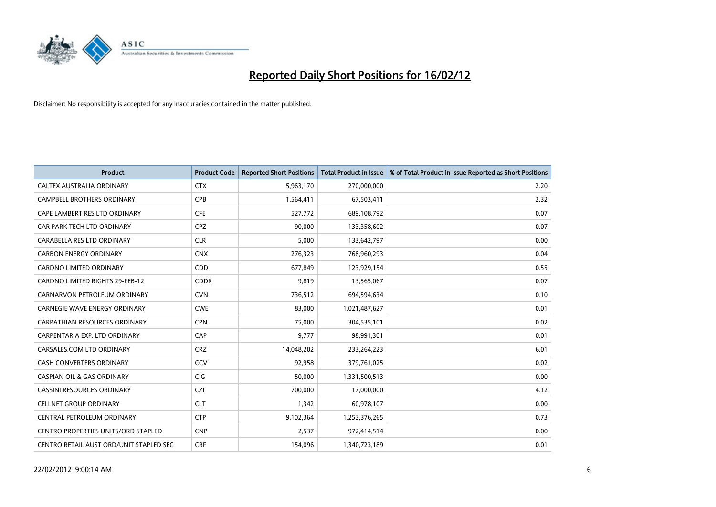

| <b>Product</b>                             | <b>Product Code</b> | <b>Reported Short Positions</b> | <b>Total Product in Issue</b> | % of Total Product in Issue Reported as Short Positions |
|--------------------------------------------|---------------------|---------------------------------|-------------------------------|---------------------------------------------------------|
| CALTEX AUSTRALIA ORDINARY                  | <b>CTX</b>          | 5,963,170                       | 270,000,000                   | 2.20                                                    |
| <b>CAMPBELL BROTHERS ORDINARY</b>          | <b>CPB</b>          | 1,564,411                       | 67,503,411                    | 2.32                                                    |
| CAPE LAMBERT RES LTD ORDINARY              | <b>CFE</b>          | 527,772                         | 689,108,792                   | 0.07                                                    |
| CAR PARK TECH LTD ORDINARY                 | <b>CPZ</b>          | 90,000                          | 133,358,602                   | 0.07                                                    |
| CARABELLA RES LTD ORDINARY                 | <b>CLR</b>          | 5,000                           | 133,642,797                   | 0.00                                                    |
| <b>CARBON ENERGY ORDINARY</b>              | <b>CNX</b>          | 276,323                         | 768,960,293                   | 0.04                                                    |
| <b>CARDNO LIMITED ORDINARY</b>             | CDD                 | 677,849                         | 123,929,154                   | 0.55                                                    |
| CARDNO LIMITED RIGHTS 29-FEB-12            | <b>CDDR</b>         | 9,819                           | 13,565,067                    | 0.07                                                    |
| CARNARVON PETROLEUM ORDINARY               | <b>CVN</b>          | 736,512                         | 694,594,634                   | 0.10                                                    |
| <b>CARNEGIE WAVE ENERGY ORDINARY</b>       | <b>CWE</b>          | 83,000                          | 1,021,487,627                 | 0.01                                                    |
| CARPATHIAN RESOURCES ORDINARY              | <b>CPN</b>          | 75,000                          | 304,535,101                   | 0.02                                                    |
| CARPENTARIA EXP. LTD ORDINARY              | CAP                 | 9,777                           | 98,991,301                    | 0.01                                                    |
| CARSALES.COM LTD ORDINARY                  | <b>CRZ</b>          | 14,048,202                      | 233,264,223                   | 6.01                                                    |
| <b>CASH CONVERTERS ORDINARY</b>            | CCV                 | 92,958                          | 379,761,025                   | 0.02                                                    |
| <b>CASPIAN OIL &amp; GAS ORDINARY</b>      | CIG                 | 50,000                          | 1,331,500,513                 | 0.00                                                    |
| CASSINI RESOURCES ORDINARY                 | <b>CZI</b>          | 700,000                         | 17,000,000                    | 4.12                                                    |
| <b>CELLNET GROUP ORDINARY</b>              | <b>CLT</b>          | 1,342                           | 60,978,107                    | 0.00                                                    |
| CENTRAL PETROLEUM ORDINARY                 | <b>CTP</b>          | 9,102,364                       | 1,253,376,265                 | 0.73                                                    |
| <b>CENTRO PROPERTIES UNITS/ORD STAPLED</b> | <b>CNP</b>          | 2,537                           | 972,414,514                   | 0.00                                                    |
| CENTRO RETAIL AUST ORD/UNIT STAPLED SEC    | <b>CRF</b>          | 154,096                         | 1,340,723,189                 | 0.01                                                    |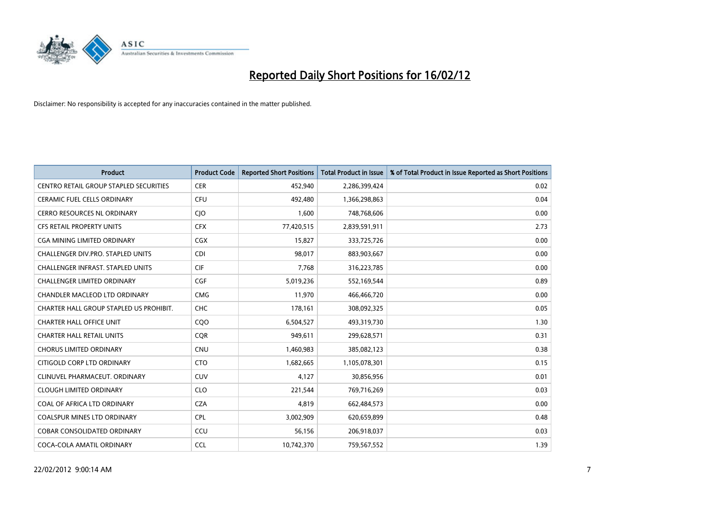

| <b>Product</b>                                | <b>Product Code</b> | <b>Reported Short Positions</b> | <b>Total Product in Issue</b> | % of Total Product in Issue Reported as Short Positions |
|-----------------------------------------------|---------------------|---------------------------------|-------------------------------|---------------------------------------------------------|
| <b>CENTRO RETAIL GROUP STAPLED SECURITIES</b> | <b>CER</b>          | 452,940                         | 2,286,399,424                 | 0.02                                                    |
| <b>CERAMIC FUEL CELLS ORDINARY</b>            | <b>CFU</b>          | 492,480                         | 1,366,298,863                 | 0.04                                                    |
| <b>CERRO RESOURCES NL ORDINARY</b>            | <b>CIO</b>          | 1,600                           | 748,768,606                   | 0.00                                                    |
| CFS RETAIL PROPERTY UNITS                     | <b>CFX</b>          | 77,420,515                      | 2,839,591,911                 | 2.73                                                    |
| <b>CGA MINING LIMITED ORDINARY</b>            | <b>CGX</b>          | 15,827                          | 333,725,726                   | 0.00                                                    |
| CHALLENGER DIV.PRO. STAPLED UNITS             | <b>CDI</b>          | 98,017                          | 883,903,667                   | 0.00                                                    |
| <b>CHALLENGER INFRAST, STAPLED UNITS</b>      | <b>CIF</b>          | 7,768                           | 316,223,785                   | 0.00                                                    |
| <b>CHALLENGER LIMITED ORDINARY</b>            | <b>CGF</b>          | 5,019,236                       | 552,169,544                   | 0.89                                                    |
| CHANDLER MACLEOD LTD ORDINARY                 | <b>CMG</b>          | 11,970                          | 466,466,720                   | 0.00                                                    |
| CHARTER HALL GROUP STAPLED US PROHIBIT.       | CHC                 | 178,161                         | 308,092,325                   | 0.05                                                    |
| <b>CHARTER HALL OFFICE UNIT</b>               | CQ <sub>O</sub>     | 6,504,527                       | 493,319,730                   | 1.30                                                    |
| <b>CHARTER HALL RETAIL UNITS</b>              | <b>CQR</b>          | 949,611                         | 299,628,571                   | 0.31                                                    |
| <b>CHORUS LIMITED ORDINARY</b>                | <b>CNU</b>          | 1,460,983                       | 385,082,123                   | 0.38                                                    |
| CITIGOLD CORP LTD ORDINARY                    | <b>CTO</b>          | 1,682,665                       | 1,105,078,301                 | 0.15                                                    |
| CLINUVEL PHARMACEUT, ORDINARY                 | <b>CUV</b>          | 4,127                           | 30,856,956                    | 0.01                                                    |
| <b>CLOUGH LIMITED ORDINARY</b>                | <b>CLO</b>          | 221,544                         | 769,716,269                   | 0.03                                                    |
| COAL OF AFRICA LTD ORDINARY                   | <b>CZA</b>          | 4,819                           | 662,484,573                   | 0.00                                                    |
| <b>COALSPUR MINES LTD ORDINARY</b>            | <b>CPL</b>          | 3,002,909                       | 620,659,899                   | 0.48                                                    |
| <b>COBAR CONSOLIDATED ORDINARY</b>            | CCU                 | 56,156                          | 206,918,037                   | 0.03                                                    |
| COCA-COLA AMATIL ORDINARY                     | <b>CCL</b>          | 10,742,370                      | 759,567,552                   | 1.39                                                    |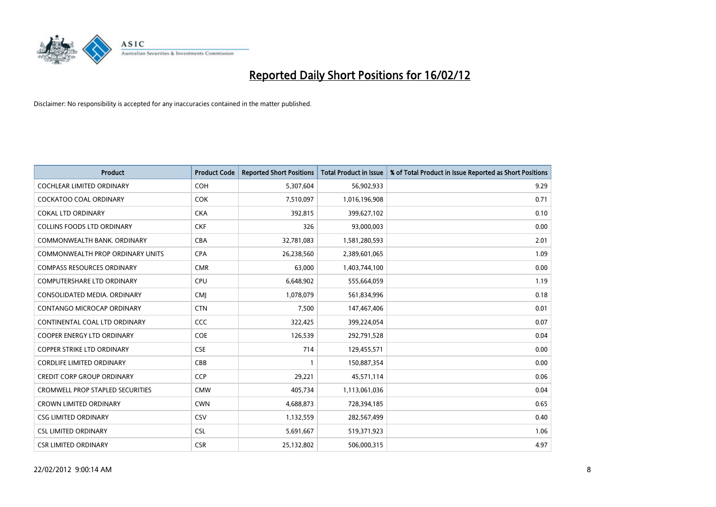

| <b>Product</b>                          | <b>Product Code</b> | <b>Reported Short Positions</b> | <b>Total Product in Issue</b> | % of Total Product in Issue Reported as Short Positions |
|-----------------------------------------|---------------------|---------------------------------|-------------------------------|---------------------------------------------------------|
| <b>COCHLEAR LIMITED ORDINARY</b>        | <b>COH</b>          | 5,307,604                       | 56,902,933                    | 9.29                                                    |
| COCKATOO COAL ORDINARY                  | <b>COK</b>          | 7,510,097                       | 1,016,196,908                 | 0.71                                                    |
| <b>COKAL LTD ORDINARY</b>               | <b>CKA</b>          | 392,815                         | 399,627,102                   | 0.10                                                    |
| COLLINS FOODS LTD ORDINARY              | <b>CKF</b>          | 326                             | 93,000,003                    | 0.00                                                    |
| COMMONWEALTH BANK, ORDINARY             | <b>CBA</b>          | 32,781,083                      | 1,581,280,593                 | 2.01                                                    |
| COMMONWEALTH PROP ORDINARY UNITS        | <b>CPA</b>          | 26,238,560                      | 2,389,601,065                 | 1.09                                                    |
| <b>COMPASS RESOURCES ORDINARY</b>       | <b>CMR</b>          | 63,000                          | 1,403,744,100                 | 0.00                                                    |
| <b>COMPUTERSHARE LTD ORDINARY</b>       | <b>CPU</b>          | 6,648,902                       | 555,664,059                   | 1.19                                                    |
| CONSOLIDATED MEDIA. ORDINARY            | <b>CMI</b>          | 1,078,079                       | 561,834,996                   | 0.18                                                    |
| CONTANGO MICROCAP ORDINARY              | <b>CTN</b>          | 7,500                           | 147,467,406                   | 0.01                                                    |
| CONTINENTAL COAL LTD ORDINARY           | CCC                 | 322,425                         | 399,224,054                   | 0.07                                                    |
| <b>COOPER ENERGY LTD ORDINARY</b>       | <b>COE</b>          | 126,539                         | 292,791,528                   | 0.04                                                    |
| <b>COPPER STRIKE LTD ORDINARY</b>       | <b>CSE</b>          | 714                             | 129,455,571                   | 0.00                                                    |
| <b>CORDLIFE LIMITED ORDINARY</b>        | CBB                 |                                 | 150,887,354                   | 0.00                                                    |
| <b>CREDIT CORP GROUP ORDINARY</b>       | <b>CCP</b>          | 29,221                          | 45,571,114                    | 0.06                                                    |
| <b>CROMWELL PROP STAPLED SECURITIES</b> | <b>CMW</b>          | 405,734                         | 1,113,061,036                 | 0.04                                                    |
| <b>CROWN LIMITED ORDINARY</b>           | <b>CWN</b>          | 4,688,873                       | 728,394,185                   | 0.65                                                    |
| <b>CSG LIMITED ORDINARY</b>             | <b>CSV</b>          | 1,132,559                       | 282,567,499                   | 0.40                                                    |
| <b>CSL LIMITED ORDINARY</b>             | <b>CSL</b>          | 5,691,667                       | 519,371,923                   | 1.06                                                    |
| <b>CSR LIMITED ORDINARY</b>             | <b>CSR</b>          | 25,132,802                      | 506,000,315                   | 4.97                                                    |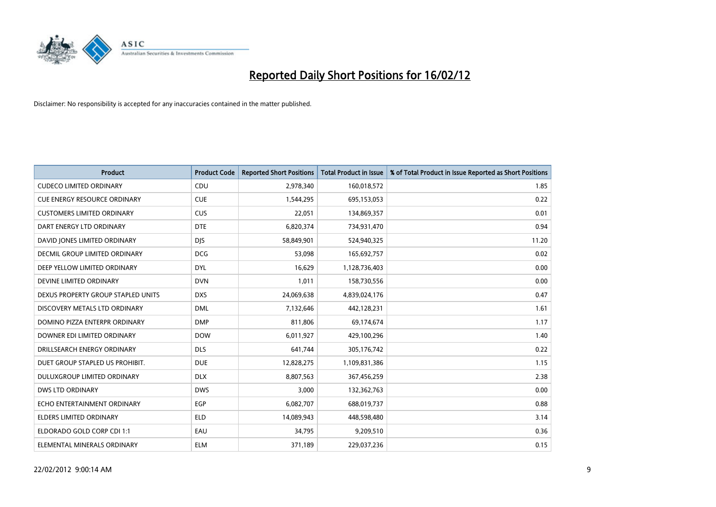

| <b>Product</b>                       | <b>Product Code</b> | <b>Reported Short Positions</b> | <b>Total Product in Issue</b> | % of Total Product in Issue Reported as Short Positions |
|--------------------------------------|---------------------|---------------------------------|-------------------------------|---------------------------------------------------------|
| <b>CUDECO LIMITED ORDINARY</b>       | CDU                 | 2,978,340                       | 160,018,572                   | 1.85                                                    |
| <b>CUE ENERGY RESOURCE ORDINARY</b>  | <b>CUE</b>          | 1,544,295                       | 695,153,053                   | 0.22                                                    |
| <b>CUSTOMERS LIMITED ORDINARY</b>    | <b>CUS</b>          | 22,051                          | 134,869,357                   | 0.01                                                    |
| DART ENERGY LTD ORDINARY             | <b>DTE</b>          | 6,820,374                       | 734,931,470                   | 0.94                                                    |
| DAVID JONES LIMITED ORDINARY         | <b>DJS</b>          | 58,849,901                      | 524,940,325                   | 11.20                                                   |
| <b>DECMIL GROUP LIMITED ORDINARY</b> | <b>DCG</b>          | 53,098                          | 165,692,757                   | 0.02                                                    |
| DEEP YELLOW LIMITED ORDINARY         | <b>DYL</b>          | 16,629                          | 1,128,736,403                 | 0.00                                                    |
| DEVINE LIMITED ORDINARY              | <b>DVN</b>          | 1,011                           | 158,730,556                   | 0.00                                                    |
| DEXUS PROPERTY GROUP STAPLED UNITS   | <b>DXS</b>          | 24,069,638                      | 4,839,024,176                 | 0.47                                                    |
| DISCOVERY METALS LTD ORDINARY        | <b>DML</b>          | 7,132,646                       | 442,128,231                   | 1.61                                                    |
| DOMINO PIZZA ENTERPR ORDINARY        | <b>DMP</b>          | 811,806                         | 69,174,674                    | 1.17                                                    |
| DOWNER EDI LIMITED ORDINARY          | <b>DOW</b>          | 6,011,927                       | 429,100,296                   | 1.40                                                    |
| DRILLSEARCH ENERGY ORDINARY          | <b>DLS</b>          | 641,744                         | 305,176,742                   | 0.22                                                    |
| DUET GROUP STAPLED US PROHIBIT.      | <b>DUE</b>          | 12,828,275                      | 1,109,831,386                 | 1.15                                                    |
| DULUXGROUP LIMITED ORDINARY          | <b>DLX</b>          | 8,807,563                       | 367,456,259                   | 2.38                                                    |
| DWS LTD ORDINARY                     | <b>DWS</b>          | 3,000                           | 132,362,763                   | 0.00                                                    |
| ECHO ENTERTAINMENT ORDINARY          | <b>EGP</b>          | 6,082,707                       | 688,019,737                   | 0.88                                                    |
| <b>ELDERS LIMITED ORDINARY</b>       | <b>ELD</b>          | 14,089,943                      | 448,598,480                   | 3.14                                                    |
| ELDORADO GOLD CORP CDI 1:1           | EAU                 | 34,795                          | 9,209,510                     | 0.36                                                    |
| ELEMENTAL MINERALS ORDINARY          | <b>ELM</b>          | 371,189                         | 229,037,236                   | 0.15                                                    |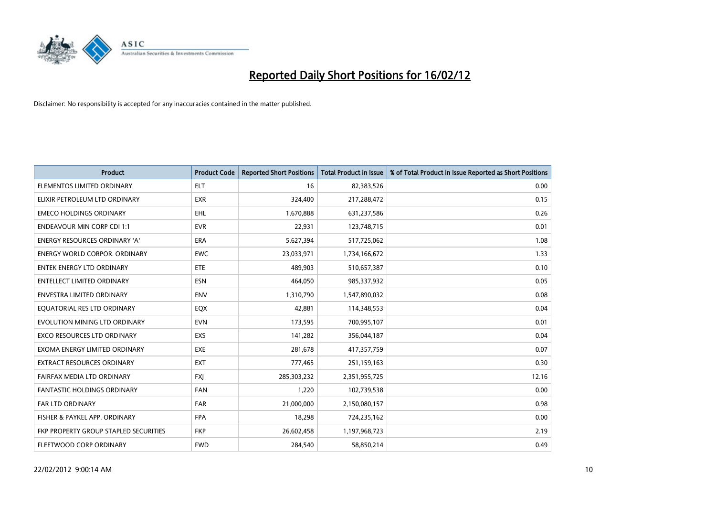

| <b>Product</b>                        | <b>Product Code</b> | <b>Reported Short Positions</b> | <b>Total Product in Issue</b> | % of Total Product in Issue Reported as Short Positions |
|---------------------------------------|---------------------|---------------------------------|-------------------------------|---------------------------------------------------------|
| ELEMENTOS LIMITED ORDINARY            | ELT                 | 16                              | 82,383,526                    | 0.00                                                    |
| ELIXIR PETROLEUM LTD ORDINARY         | <b>EXR</b>          | 324,400                         | 217,288,472                   | 0.15                                                    |
| <b>EMECO HOLDINGS ORDINARY</b>        | <b>EHL</b>          | 1,670,888                       | 631,237,586                   | 0.26                                                    |
| <b>ENDEAVOUR MIN CORP CDI 1:1</b>     | <b>EVR</b>          | 22,931                          | 123,748,715                   | 0.01                                                    |
| <b>ENERGY RESOURCES ORDINARY 'A'</b>  | ERA                 | 5,627,394                       | 517,725,062                   | 1.08                                                    |
| <b>ENERGY WORLD CORPOR, ORDINARY</b>  | <b>EWC</b>          | 23,033,971                      | 1,734,166,672                 | 1.33                                                    |
| <b>ENTEK ENERGY LTD ORDINARY</b>      | ETE                 | 489.903                         | 510,657,387                   | 0.10                                                    |
| <b>ENTELLECT LIMITED ORDINARY</b>     | <b>ESN</b>          | 464,050                         | 985,337,932                   | 0.05                                                    |
| <b>ENVESTRA LIMITED ORDINARY</b>      | <b>ENV</b>          | 1,310,790                       | 1,547,890,032                 | 0.08                                                    |
| EQUATORIAL RES LTD ORDINARY           | EQX                 | 42,881                          | 114,348,553                   | 0.04                                                    |
| EVOLUTION MINING LTD ORDINARY         | <b>EVN</b>          | 173,595                         | 700,995,107                   | 0.01                                                    |
| <b>EXCO RESOURCES LTD ORDINARY</b>    | <b>EXS</b>          | 141,282                         | 356,044,187                   | 0.04                                                    |
| EXOMA ENERGY LIMITED ORDINARY         | EXE                 | 281,678                         | 417,357,759                   | 0.07                                                    |
| <b>EXTRACT RESOURCES ORDINARY</b>     | <b>EXT</b>          | 777,465                         | 251,159,163                   | 0.30                                                    |
| FAIRFAX MEDIA LTD ORDINARY            | <b>FXJ</b>          | 285,303,232                     | 2,351,955,725                 | 12.16                                                   |
| <b>FANTASTIC HOLDINGS ORDINARY</b>    | <b>FAN</b>          | 1,220                           | 102,739,538                   | 0.00                                                    |
| FAR LTD ORDINARY                      | <b>FAR</b>          | 21,000,000                      | 2,150,080,157                 | 0.98                                                    |
| FISHER & PAYKEL APP. ORDINARY         | <b>FPA</b>          | 18,298                          | 724,235,162                   | 0.00                                                    |
| FKP PROPERTY GROUP STAPLED SECURITIES | <b>FKP</b>          | 26,602,458                      | 1,197,968,723                 | 2.19                                                    |
| FLEETWOOD CORP ORDINARY               | <b>FWD</b>          | 284,540                         | 58,850,214                    | 0.49                                                    |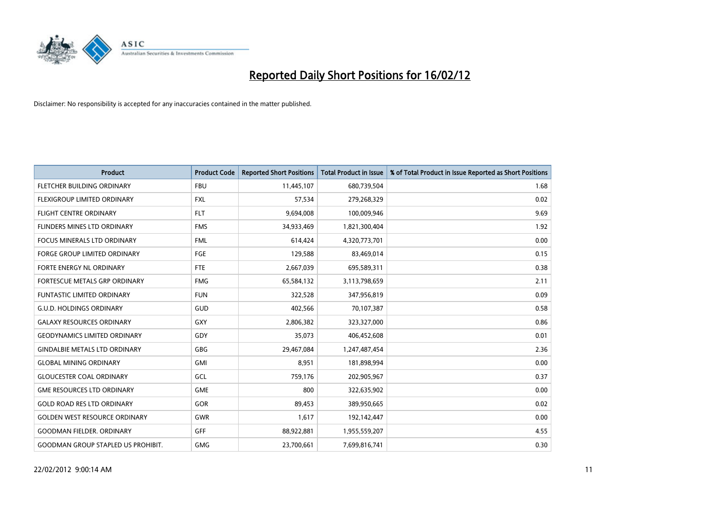

| <b>Product</b>                            | <b>Product Code</b> | <b>Reported Short Positions</b> | <b>Total Product in Issue</b> | % of Total Product in Issue Reported as Short Positions |
|-------------------------------------------|---------------------|---------------------------------|-------------------------------|---------------------------------------------------------|
| FLETCHER BUILDING ORDINARY                | <b>FBU</b>          | 11,445,107                      | 680,739,504                   | 1.68                                                    |
| <b>FLEXIGROUP LIMITED ORDINARY</b>        | FXL                 | 57,534                          | 279,268,329                   | 0.02                                                    |
| <b>FLIGHT CENTRE ORDINARY</b>             | <b>FLT</b>          | 9,694,008                       | 100,009,946                   | 9.69                                                    |
| FLINDERS MINES LTD ORDINARY               | <b>FMS</b>          | 34,933,469                      | 1,821,300,404                 | 1.92                                                    |
| <b>FOCUS MINERALS LTD ORDINARY</b>        | <b>FML</b>          | 614,424                         | 4,320,773,701                 | 0.00                                                    |
| <b>FORGE GROUP LIMITED ORDINARY</b>       | <b>FGE</b>          | 129,588                         | 83,469,014                    | 0.15                                                    |
| FORTE ENERGY NL ORDINARY                  | FTE                 | 2,667,039                       | 695,589,311                   | 0.38                                                    |
| FORTESCUE METALS GRP ORDINARY             | <b>FMG</b>          | 65,584,132                      | 3,113,798,659                 | 2.11                                                    |
| <b>FUNTASTIC LIMITED ORDINARY</b>         | <b>FUN</b>          | 322,528                         | 347,956,819                   | 0.09                                                    |
| <b>G.U.D. HOLDINGS ORDINARY</b>           | GUD                 | 402,566                         | 70,107,387                    | 0.58                                                    |
| <b>GALAXY RESOURCES ORDINARY</b>          | GXY                 | 2,806,382                       | 323,327,000                   | 0.86                                                    |
| <b>GEODYNAMICS LIMITED ORDINARY</b>       | GDY                 | 35,073                          | 406,452,608                   | 0.01                                                    |
| <b>GINDALBIE METALS LTD ORDINARY</b>      | GBG                 | 29,467,084                      | 1,247,487,454                 | 2.36                                                    |
| <b>GLOBAL MINING ORDINARY</b>             | GMI                 | 8,951                           | 181,898,994                   | 0.00                                                    |
| <b>GLOUCESTER COAL ORDINARY</b>           | GCL                 | 759,176                         | 202,905,967                   | 0.37                                                    |
| <b>GME RESOURCES LTD ORDINARY</b>         | <b>GME</b>          | 800                             | 322,635,902                   | 0.00                                                    |
| <b>GOLD ROAD RES LTD ORDINARY</b>         | GOR                 | 89,453                          | 389,950,665                   | 0.02                                                    |
| <b>GOLDEN WEST RESOURCE ORDINARY</b>      | <b>GWR</b>          | 1,617                           | 192,142,447                   | 0.00                                                    |
| <b>GOODMAN FIELDER, ORDINARY</b>          | <b>GFF</b>          | 88,922,881                      | 1,955,559,207                 | 4.55                                                    |
| <b>GOODMAN GROUP STAPLED US PROHIBIT.</b> | GMG                 | 23,700,661                      | 7,699,816,741                 | 0.30                                                    |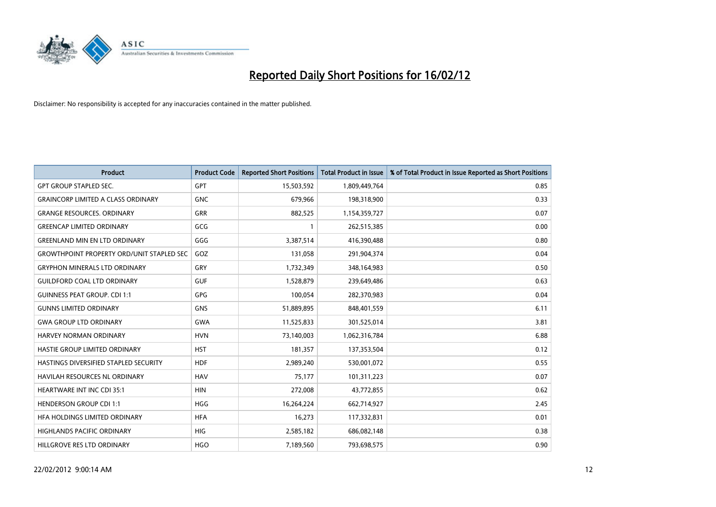

| <b>Product</b>                                   | <b>Product Code</b> | <b>Reported Short Positions</b> | <b>Total Product in Issue</b> | % of Total Product in Issue Reported as Short Positions |
|--------------------------------------------------|---------------------|---------------------------------|-------------------------------|---------------------------------------------------------|
| <b>GPT GROUP STAPLED SEC.</b>                    | GPT                 | 15,503,592                      | 1,809,449,764                 | 0.85                                                    |
| <b>GRAINCORP LIMITED A CLASS ORDINARY</b>        | <b>GNC</b>          | 679,966                         | 198,318,900                   | 0.33                                                    |
| <b>GRANGE RESOURCES, ORDINARY</b>                | <b>GRR</b>          | 882,525                         | 1,154,359,727                 | 0.07                                                    |
| <b>GREENCAP LIMITED ORDINARY</b>                 | GCG                 | 1                               | 262,515,385                   | 0.00                                                    |
| <b>GREENLAND MIN EN LTD ORDINARY</b>             | GGG                 | 3,387,514                       | 416,390,488                   | 0.80                                                    |
| <b>GROWTHPOINT PROPERTY ORD/UNIT STAPLED SEC</b> | GOZ                 | 131,058                         | 291,904,374                   | 0.04                                                    |
| <b>GRYPHON MINERALS LTD ORDINARY</b>             | <b>GRY</b>          | 1,732,349                       | 348,164,983                   | 0.50                                                    |
| <b>GUILDFORD COAL LTD ORDINARY</b>               | <b>GUF</b>          | 1,528,879                       | 239,649,486                   | 0.63                                                    |
| <b>GUINNESS PEAT GROUP. CDI 1:1</b>              | <b>GPG</b>          | 100,054                         | 282,370,983                   | 0.04                                                    |
| <b>GUNNS LIMITED ORDINARY</b>                    | <b>GNS</b>          | 51,889,895                      | 848,401,559                   | 6.11                                                    |
| <b>GWA GROUP LTD ORDINARY</b>                    | <b>GWA</b>          | 11,525,833                      | 301,525,014                   | 3.81                                                    |
| HARVEY NORMAN ORDINARY                           | <b>HVN</b>          | 73,140,003                      | 1,062,316,784                 | 6.88                                                    |
| HASTIE GROUP LIMITED ORDINARY                    | <b>HST</b>          | 181,357                         | 137,353,504                   | 0.12                                                    |
| HASTINGS DIVERSIFIED STAPLED SECURITY            | <b>HDF</b>          | 2,989,240                       | 530,001,072                   | 0.55                                                    |
| <b>HAVILAH RESOURCES NL ORDINARY</b>             | <b>HAV</b>          | 75,177                          | 101,311,223                   | 0.07                                                    |
| HEARTWARE INT INC CDI 35:1                       | <b>HIN</b>          | 272,008                         | 43,772,855                    | 0.62                                                    |
| <b>HENDERSON GROUP CDI 1:1</b>                   | HGG                 | 16,264,224                      | 662,714,927                   | 2.45                                                    |
| HFA HOLDINGS LIMITED ORDINARY                    | <b>HFA</b>          | 16,273                          | 117,332,831                   | 0.01                                                    |
| <b>HIGHLANDS PACIFIC ORDINARY</b>                | <b>HIG</b>          | 2,585,182                       | 686,082,148                   | 0.38                                                    |
| HILLGROVE RES LTD ORDINARY                       | <b>HGO</b>          | 7,189,560                       | 793,698,575                   | 0.90                                                    |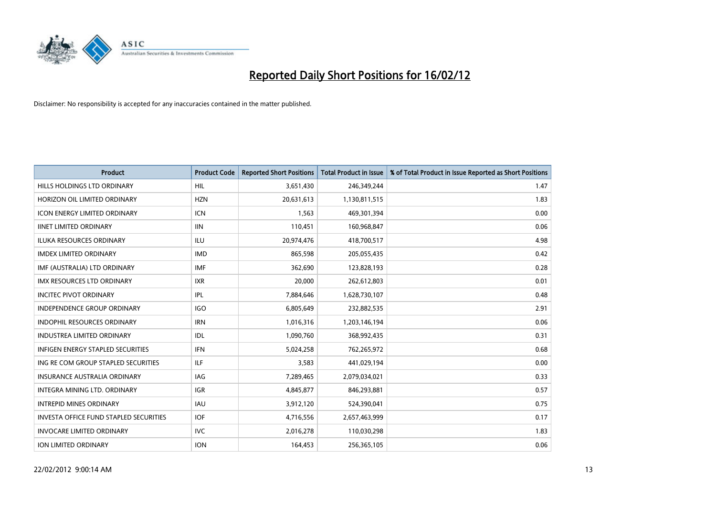

| <b>Product</b>                                | <b>Product Code</b> | <b>Reported Short Positions</b> | <b>Total Product in Issue</b> | % of Total Product in Issue Reported as Short Positions |
|-----------------------------------------------|---------------------|---------------------------------|-------------------------------|---------------------------------------------------------|
| HILLS HOLDINGS LTD ORDINARY                   | HIL                 | 3,651,430                       | 246,349,244                   | 1.47                                                    |
| HORIZON OIL LIMITED ORDINARY                  | <b>HZN</b>          | 20,631,613                      | 1,130,811,515                 | 1.83                                                    |
| <b>ICON ENERGY LIMITED ORDINARY</b>           | <b>ICN</b>          | 1,563                           | 469,301,394                   | 0.00                                                    |
| <b>IINET LIMITED ORDINARY</b>                 | <b>IIN</b>          | 110,451                         | 160,968,847                   | 0.06                                                    |
| <b>ILUKA RESOURCES ORDINARY</b>               | ILU                 | 20,974,476                      | 418,700,517                   | 4.98                                                    |
| <b>IMDEX LIMITED ORDINARY</b>                 | <b>IMD</b>          | 865,598                         | 205,055,435                   | 0.42                                                    |
| IMF (AUSTRALIA) LTD ORDINARY                  | <b>IMF</b>          | 362,690                         | 123,828,193                   | 0.28                                                    |
| <b>IMX RESOURCES LTD ORDINARY</b>             | <b>IXR</b>          | 20,000                          | 262,612,803                   | 0.01                                                    |
| <b>INCITEC PIVOT ORDINARY</b>                 | IPL                 | 7,884,646                       | 1,628,730,107                 | 0.48                                                    |
| INDEPENDENCE GROUP ORDINARY                   | <b>IGO</b>          | 6,805,649                       | 232,882,535                   | 2.91                                                    |
| <b>INDOPHIL RESOURCES ORDINARY</b>            | <b>IRN</b>          | 1,016,316                       | 1,203,146,194                 | 0.06                                                    |
| <b>INDUSTREA LIMITED ORDINARY</b>             | IDL                 | 1,090,760                       | 368,992,435                   | 0.31                                                    |
| <b>INFIGEN ENERGY STAPLED SECURITIES</b>      | <b>IFN</b>          | 5,024,258                       | 762,265,972                   | 0.68                                                    |
| ING RE COM GROUP STAPLED SECURITIES           | ILF.                | 3,583                           | 441,029,194                   | 0.00                                                    |
| <b>INSURANCE AUSTRALIA ORDINARY</b>           | IAG                 | 7,289,465                       | 2,079,034,021                 | 0.33                                                    |
| INTEGRA MINING LTD, ORDINARY                  | <b>IGR</b>          | 4,845,877                       | 846,293,881                   | 0.57                                                    |
| <b>INTREPID MINES ORDINARY</b>                | <b>IAU</b>          | 3,912,120                       | 524,390,041                   | 0.75                                                    |
| <b>INVESTA OFFICE FUND STAPLED SECURITIES</b> | <b>IOF</b>          | 4,716,556                       | 2,657,463,999                 | 0.17                                                    |
| <b>INVOCARE LIMITED ORDINARY</b>              | <b>IVC</b>          | 2,016,278                       | 110,030,298                   | 1.83                                                    |
| ION LIMITED ORDINARY                          | <b>ION</b>          | 164,453                         | 256,365,105                   | 0.06                                                    |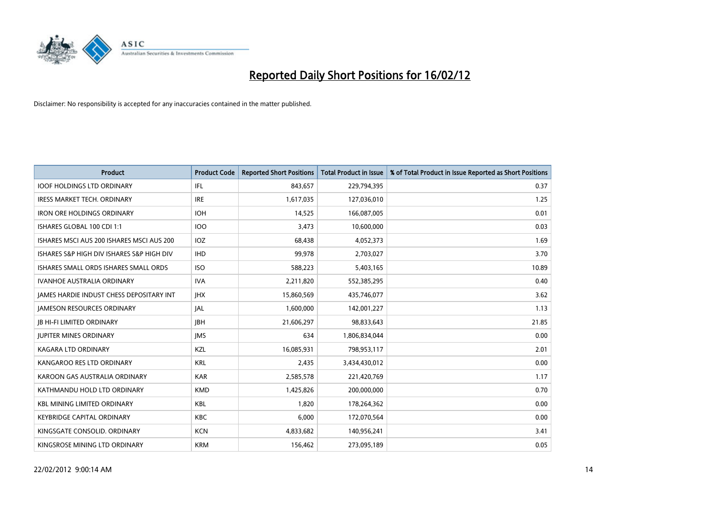

| <b>Product</b>                            | <b>Product Code</b> | <b>Reported Short Positions</b> | <b>Total Product in Issue</b> | % of Total Product in Issue Reported as Short Positions |
|-------------------------------------------|---------------------|---------------------------------|-------------------------------|---------------------------------------------------------|
| <b>IOOF HOLDINGS LTD ORDINARY</b>         | IFL                 | 843,657                         | 229,794,395                   | 0.37                                                    |
| <b>IRESS MARKET TECH. ORDINARY</b>        | <b>IRE</b>          | 1,617,035                       | 127,036,010                   | 1.25                                                    |
| <b>IRON ORE HOLDINGS ORDINARY</b>         | <b>IOH</b>          | 14,525                          | 166,087,005                   | 0.01                                                    |
| ISHARES GLOBAL 100 CDI 1:1                | <b>IOO</b>          | 3,473                           | 10,600,000                    | 0.03                                                    |
| ISHARES MSCLAUS 200 ISHARES MSCLAUS 200   | IOZ                 | 68,438                          | 4,052,373                     | 1.69                                                    |
| ISHARES S&P HIGH DIV ISHARES S&P HIGH DIV | <b>IHD</b>          | 99,978                          | 2,703,027                     | 3.70                                                    |
| ISHARES SMALL ORDS ISHARES SMALL ORDS     | <b>ISO</b>          | 588,223                         | 5,403,165                     | 10.89                                                   |
| <b>IVANHOE AUSTRALIA ORDINARY</b>         | <b>IVA</b>          | 2,211,820                       | 552,385,295                   | 0.40                                                    |
| JAMES HARDIE INDUST CHESS DEPOSITARY INT  | <b>JHX</b>          | 15,860,569                      | 435,746,077                   | 3.62                                                    |
| <b>JAMESON RESOURCES ORDINARY</b>         | JAL                 | 1,600,000                       | 142,001,227                   | 1.13                                                    |
| <b>JB HI-FI LIMITED ORDINARY</b>          | <b>JBH</b>          | 21,606,297                      | 98,833,643                    | 21.85                                                   |
| <b>JUPITER MINES ORDINARY</b>             | <b>IMS</b>          | 634                             | 1,806,834,044                 | 0.00                                                    |
| <b>KAGARA LTD ORDINARY</b>                | KZL                 | 16,085,931                      | 798,953,117                   | 2.01                                                    |
| KANGAROO RES LTD ORDINARY                 | <b>KRL</b>          | 2,435                           | 3,434,430,012                 | 0.00                                                    |
| KAROON GAS AUSTRALIA ORDINARY             | <b>KAR</b>          | 2,585,578                       | 221,420,769                   | 1.17                                                    |
| KATHMANDU HOLD LTD ORDINARY               | <b>KMD</b>          | 1,425,826                       | 200,000,000                   | 0.70                                                    |
| <b>KBL MINING LIMITED ORDINARY</b>        | <b>KBL</b>          | 1,820                           | 178,264,362                   | 0.00                                                    |
| <b>KEYBRIDGE CAPITAL ORDINARY</b>         | <b>KBC</b>          | 6,000                           | 172,070,564                   | 0.00                                                    |
| KINGSGATE CONSOLID. ORDINARY              | <b>KCN</b>          | 4,833,682                       | 140,956,241                   | 3.41                                                    |
| KINGSROSE MINING LTD ORDINARY             | <b>KRM</b>          | 156,462                         | 273,095,189                   | 0.05                                                    |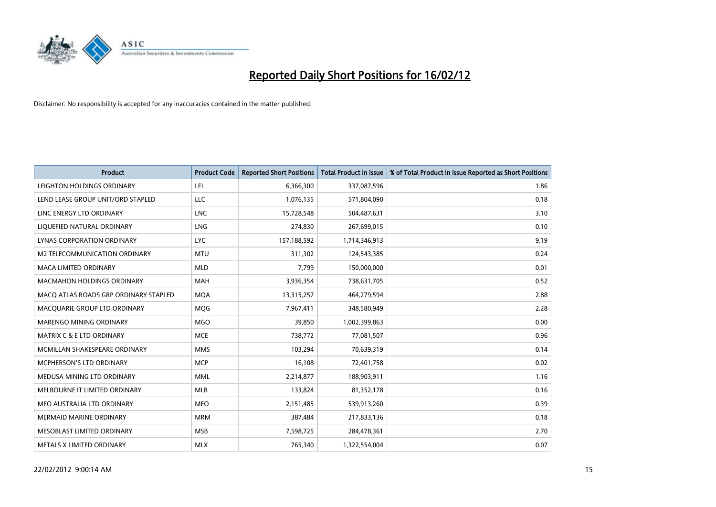

| <b>Product</b>                        | <b>Product Code</b> | <b>Reported Short Positions</b> | <b>Total Product in Issue</b> | % of Total Product in Issue Reported as Short Positions |
|---------------------------------------|---------------------|---------------------------------|-------------------------------|---------------------------------------------------------|
| LEIGHTON HOLDINGS ORDINARY            | LEI                 | 6,366,300                       | 337,087,596                   | 1.86                                                    |
| LEND LEASE GROUP UNIT/ORD STAPLED     | <b>LLC</b>          | 1,076,135                       | 571,804,090                   | 0.18                                                    |
| LINC ENERGY LTD ORDINARY              | <b>LNC</b>          | 15,728,548                      | 504,487,631                   | 3.10                                                    |
| LIQUEFIED NATURAL ORDINARY            | <b>LNG</b>          | 274,830                         | 267,699,015                   | 0.10                                                    |
| LYNAS CORPORATION ORDINARY            | <b>LYC</b>          | 157,188,592                     | 1,714,346,913                 | 9.19                                                    |
| M2 TELECOMMUNICATION ORDINARY         | <b>MTU</b>          | 311,302                         | 124,543,385                   | 0.24                                                    |
| <b>MACA LIMITED ORDINARY</b>          | <b>MLD</b>          | 7,799                           | 150,000,000                   | 0.01                                                    |
| MACMAHON HOLDINGS ORDINARY            | MAH                 | 3,936,354                       | 738,631,705                   | 0.52                                                    |
| MACO ATLAS ROADS GRP ORDINARY STAPLED | <b>MOA</b>          | 13,315,257                      | 464,279,594                   | 2.88                                                    |
| MACQUARIE GROUP LTD ORDINARY          | <b>MOG</b>          | 7,967,411                       | 348,580,949                   | 2.28                                                    |
| MARENGO MINING ORDINARY               | <b>MGO</b>          | 39,850                          | 1,002,399,863                 | 0.00                                                    |
| <b>MATRIX C &amp; E LTD ORDINARY</b>  | <b>MCE</b>          | 738,772                         | 77,081,507                    | 0.96                                                    |
| MCMILLAN SHAKESPEARE ORDINARY         | <b>MMS</b>          | 103,294                         | 70,639,319                    | 0.14                                                    |
| <b>MCPHERSON'S LTD ORDINARY</b>       | <b>MCP</b>          | 16,108                          | 72,401,758                    | 0.02                                                    |
| MEDUSA MINING LTD ORDINARY            | <b>MML</b>          | 2,214,877                       | 188,903,911                   | 1.16                                                    |
| MELBOURNE IT LIMITED ORDINARY         | MLB                 | 133,824                         | 81,352,178                    | 0.16                                                    |
| MEO AUSTRALIA LTD ORDINARY            | <b>MEO</b>          | 2,151,485                       | 539,913,260                   | 0.39                                                    |
| <b>MERMAID MARINE ORDINARY</b>        | <b>MRM</b>          | 387,484                         | 217,833,136                   | 0.18                                                    |
| MESOBLAST LIMITED ORDINARY            | <b>MSB</b>          | 7,598,725                       | 284,478,361                   | 2.70                                                    |
| METALS X LIMITED ORDINARY             | <b>MLX</b>          | 765,340                         | 1,322,554,004                 | 0.07                                                    |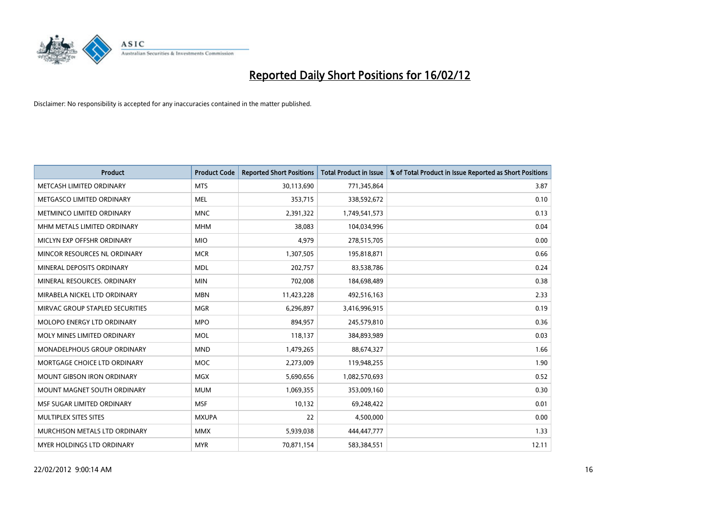

| <b>Product</b>                    | <b>Product Code</b> | <b>Reported Short Positions</b> | <b>Total Product in Issue</b> | % of Total Product in Issue Reported as Short Positions |
|-----------------------------------|---------------------|---------------------------------|-------------------------------|---------------------------------------------------------|
| METCASH LIMITED ORDINARY          | <b>MTS</b>          | 30,113,690                      | 771,345,864                   | 3.87                                                    |
| METGASCO LIMITED ORDINARY         | MEL                 | 353,715                         | 338,592,672                   | 0.10                                                    |
| METMINCO LIMITED ORDINARY         | <b>MNC</b>          | 2,391,322                       | 1,749,541,573                 | 0.13                                                    |
| MHM METALS LIMITED ORDINARY       | <b>MHM</b>          | 38,083                          | 104,034,996                   | 0.04                                                    |
| MICLYN EXP OFFSHR ORDINARY        | <b>MIO</b>          | 4,979                           | 278,515,705                   | 0.00                                                    |
| MINCOR RESOURCES NL ORDINARY      | <b>MCR</b>          | 1,307,505                       | 195,818,871                   | 0.66                                                    |
| MINERAL DEPOSITS ORDINARY         | <b>MDL</b>          | 202,757                         | 83,538,786                    | 0.24                                                    |
| MINERAL RESOURCES. ORDINARY       | <b>MIN</b>          | 702,008                         | 184,698,489                   | 0.38                                                    |
| MIRABELA NICKEL LTD ORDINARY      | <b>MBN</b>          | 11,423,228                      | 492,516,163                   | 2.33                                                    |
| MIRVAC GROUP STAPLED SECURITIES   | <b>MGR</b>          | 6,296,897                       | 3,416,996,915                 | 0.19                                                    |
| MOLOPO ENERGY LTD ORDINARY        | <b>MPO</b>          | 894,957                         | 245,579,810                   | 0.36                                                    |
| MOLY MINES LIMITED ORDINARY       | MOL                 | 118,137                         | 384,893,989                   | 0.03                                                    |
| MONADELPHOUS GROUP ORDINARY       | <b>MND</b>          | 1,479,265                       | 88,674,327                    | 1.66                                                    |
| MORTGAGE CHOICE LTD ORDINARY      | MOC                 | 2,273,009                       | 119,948,255                   | 1.90                                                    |
| <b>MOUNT GIBSON IRON ORDINARY</b> | <b>MGX</b>          | 5,690,656                       | 1,082,570,693                 | 0.52                                                    |
| MOUNT MAGNET SOUTH ORDINARY       | <b>MUM</b>          | 1,069,355                       | 353,009,160                   | 0.30                                                    |
| MSF SUGAR LIMITED ORDINARY        | <b>MSF</b>          | 10,132                          | 69,248,422                    | 0.01                                                    |
| MULTIPLEX SITES SITES             | <b>MXUPA</b>        | 22                              | 4,500,000                     | 0.00                                                    |
| MURCHISON METALS LTD ORDINARY     | <b>MMX</b>          | 5,939,038                       | 444,447,777                   | 1.33                                                    |
| MYER HOLDINGS LTD ORDINARY        | <b>MYR</b>          | 70,871,154                      | 583,384,551                   | 12.11                                                   |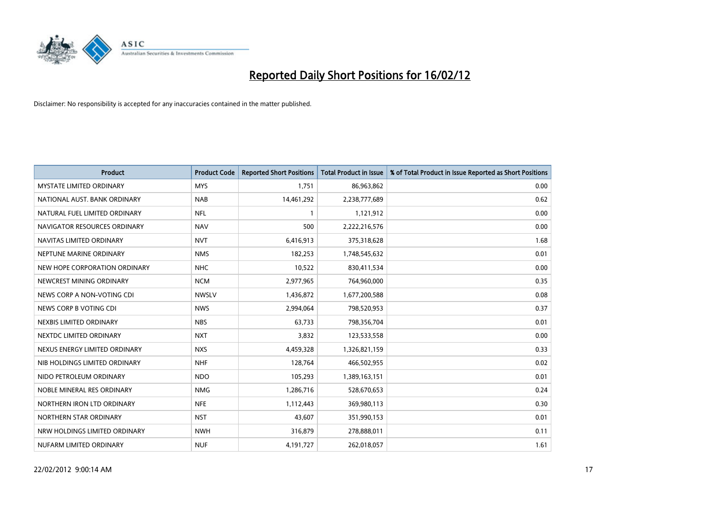

| <b>Product</b>                  | <b>Product Code</b> | <b>Reported Short Positions</b> | <b>Total Product in Issue</b> | % of Total Product in Issue Reported as Short Positions |
|---------------------------------|---------------------|---------------------------------|-------------------------------|---------------------------------------------------------|
| <b>MYSTATE LIMITED ORDINARY</b> | <b>MYS</b>          | 1,751                           | 86,963,862                    | 0.00                                                    |
| NATIONAL AUST. BANK ORDINARY    | <b>NAB</b>          | 14,461,292                      | 2,238,777,689                 | 0.62                                                    |
| NATURAL FUEL LIMITED ORDINARY   | <b>NFL</b>          | $\mathbf{1}$                    | 1,121,912                     | 0.00                                                    |
| NAVIGATOR RESOURCES ORDINARY    | <b>NAV</b>          | 500                             | 2,222,216,576                 | 0.00                                                    |
| NAVITAS LIMITED ORDINARY        | <b>NVT</b>          | 6,416,913                       | 375,318,628                   | 1.68                                                    |
| NEPTUNE MARINE ORDINARY         | <b>NMS</b>          | 182,253                         | 1,748,545,632                 | 0.01                                                    |
| NEW HOPE CORPORATION ORDINARY   | <b>NHC</b>          | 10,522                          | 830,411,534                   | 0.00                                                    |
| NEWCREST MINING ORDINARY        | <b>NCM</b>          | 2,977,965                       | 764,960,000                   | 0.35                                                    |
| NEWS CORP A NON-VOTING CDI      | <b>NWSLV</b>        | 1,436,872                       | 1,677,200,588                 | 0.08                                                    |
| NEWS CORP B VOTING CDI          | <b>NWS</b>          | 2,994,064                       | 798,520,953                   | 0.37                                                    |
| NEXBIS LIMITED ORDINARY         | <b>NBS</b>          | 63,733                          | 798,356,704                   | 0.01                                                    |
| NEXTDC LIMITED ORDINARY         | <b>NXT</b>          | 3,832                           | 123,533,558                   | 0.00                                                    |
| NEXUS ENERGY LIMITED ORDINARY   | <b>NXS</b>          | 4,459,328                       | 1,326,821,159                 | 0.33                                                    |
| NIB HOLDINGS LIMITED ORDINARY   | <b>NHF</b>          | 128,764                         | 466,502,955                   | 0.02                                                    |
| NIDO PETROLEUM ORDINARY         | <b>NDO</b>          | 105,293                         | 1,389,163,151                 | 0.01                                                    |
| NOBLE MINERAL RES ORDINARY      | <b>NMG</b>          | 1,286,716                       | 528,670,653                   | 0.24                                                    |
| NORTHERN IRON LTD ORDINARY      | <b>NFE</b>          | 1,112,443                       | 369,980,113                   | 0.30                                                    |
| NORTHERN STAR ORDINARY          | <b>NST</b>          | 43,607                          | 351,990,153                   | 0.01                                                    |
| NRW HOLDINGS LIMITED ORDINARY   | <b>NWH</b>          | 316,879                         | 278,888,011                   | 0.11                                                    |
| NUFARM LIMITED ORDINARY         | <b>NUF</b>          | 4,191,727                       | 262,018,057                   | 1.61                                                    |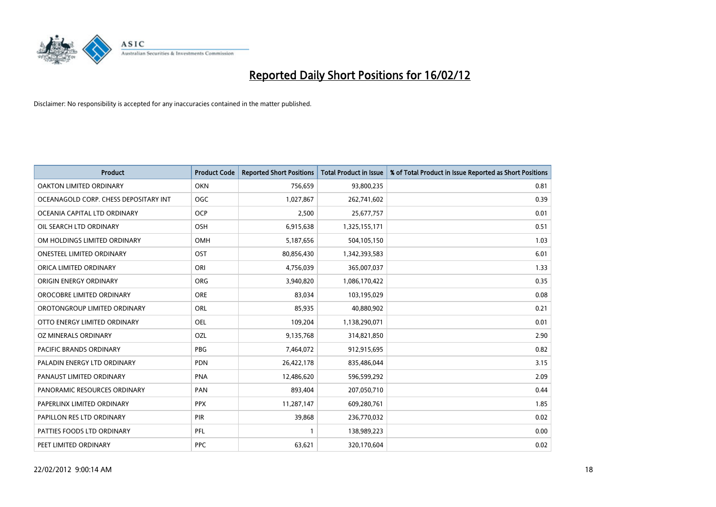

| <b>Product</b>                        | <b>Product Code</b> | <b>Reported Short Positions</b> | <b>Total Product in Issue</b> | % of Total Product in Issue Reported as Short Positions |
|---------------------------------------|---------------------|---------------------------------|-------------------------------|---------------------------------------------------------|
| <b>OAKTON LIMITED ORDINARY</b>        | <b>OKN</b>          | 756,659                         | 93,800,235                    | 0.81                                                    |
| OCEANAGOLD CORP. CHESS DEPOSITARY INT | <b>OGC</b>          | 1,027,867                       | 262,741,602                   | 0.39                                                    |
| OCEANIA CAPITAL LTD ORDINARY          | <b>OCP</b>          | 2,500                           | 25,677,757                    | 0.01                                                    |
| OIL SEARCH LTD ORDINARY               | OSH                 | 6,915,638                       | 1,325,155,171                 | 0.51                                                    |
| OM HOLDINGS LIMITED ORDINARY          | <b>OMH</b>          | 5,187,656                       | 504,105,150                   | 1.03                                                    |
| <b>ONESTEEL LIMITED ORDINARY</b>      | OST                 | 80,856,430                      | 1,342,393,583                 | 6.01                                                    |
| ORICA LIMITED ORDINARY                | ORI                 | 4,756,039                       | 365,007,037                   | 1.33                                                    |
| ORIGIN ENERGY ORDINARY                | ORG                 | 3,940,820                       | 1,086,170,422                 | 0.35                                                    |
| OROCOBRE LIMITED ORDINARY             | <b>ORE</b>          | 83,034                          | 103,195,029                   | 0.08                                                    |
| OROTONGROUP LIMITED ORDINARY          | ORL                 | 85,935                          | 40,880,902                    | 0.21                                                    |
| OTTO ENERGY LIMITED ORDINARY          | <b>OEL</b>          | 109,204                         | 1,138,290,071                 | 0.01                                                    |
| OZ MINERALS ORDINARY                  | OZL                 | 9,135,768                       | 314,821,850                   | 2.90                                                    |
| PACIFIC BRANDS ORDINARY               | <b>PBG</b>          | 7,464,072                       | 912,915,695                   | 0.82                                                    |
| PALADIN ENERGY LTD ORDINARY           | <b>PDN</b>          | 26,422,178                      | 835,486,044                   | 3.15                                                    |
| PANAUST LIMITED ORDINARY              | <b>PNA</b>          | 12,486,620                      | 596,599,292                   | 2.09                                                    |
| PANORAMIC RESOURCES ORDINARY          | PAN                 | 893,404                         | 207,050,710                   | 0.44                                                    |
| PAPERLINX LIMITED ORDINARY            | <b>PPX</b>          | 11,287,147                      | 609,280,761                   | 1.85                                                    |
| PAPILLON RES LTD ORDINARY             | PIR                 | 39,868                          | 236,770,032                   | 0.02                                                    |
| PATTIES FOODS LTD ORDINARY            | <b>PFL</b>          | $\mathbf{1}$                    | 138,989,223                   | 0.00                                                    |
| PEET LIMITED ORDINARY                 | <b>PPC</b>          | 63,621                          | 320,170,604                   | 0.02                                                    |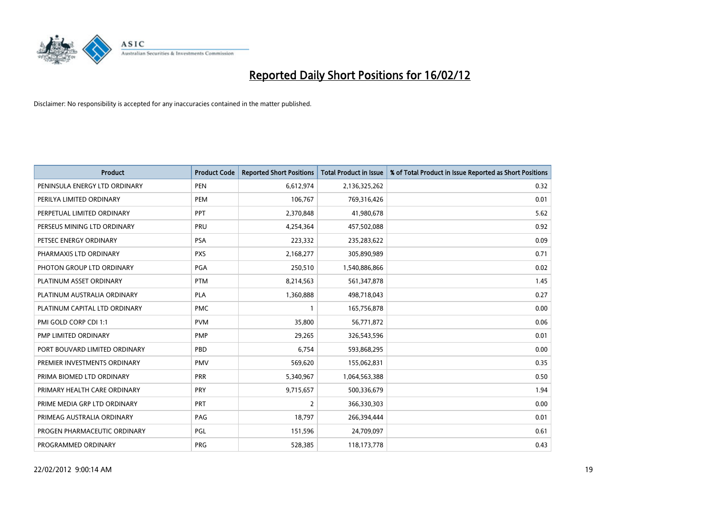

| <b>Product</b>                | <b>Product Code</b> | <b>Reported Short Positions</b> | <b>Total Product in Issue</b> | % of Total Product in Issue Reported as Short Positions |
|-------------------------------|---------------------|---------------------------------|-------------------------------|---------------------------------------------------------|
| PENINSULA ENERGY LTD ORDINARY | <b>PEN</b>          | 6,612,974                       | 2,136,325,262                 | 0.32                                                    |
| PERILYA LIMITED ORDINARY      | <b>PEM</b>          | 106,767                         | 769,316,426                   | 0.01                                                    |
| PERPETUAL LIMITED ORDINARY    | PPT                 | 2,370,848                       | 41,980,678                    | 5.62                                                    |
| PERSEUS MINING LTD ORDINARY   | PRU                 | 4,254,364                       | 457,502,088                   | 0.92                                                    |
| PETSEC ENERGY ORDINARY        | <b>PSA</b>          | 223,332                         | 235,283,622                   | 0.09                                                    |
| PHARMAXIS LTD ORDINARY        | <b>PXS</b>          | 2,168,277                       | 305,890,989                   | 0.71                                                    |
| PHOTON GROUP LTD ORDINARY     | <b>PGA</b>          | 250,510                         | 1,540,886,866                 | 0.02                                                    |
| PLATINUM ASSET ORDINARY       | <b>PTM</b>          | 8,214,563                       | 561,347,878                   | 1.45                                                    |
| PLATINUM AUSTRALIA ORDINARY   | <b>PLA</b>          | 1,360,888                       | 498,718,043                   | 0.27                                                    |
| PLATINUM CAPITAL LTD ORDINARY | <b>PMC</b>          | $\mathbf{1}$                    | 165,756,878                   | 0.00                                                    |
| PMI GOLD CORP CDI 1:1         | <b>PVM</b>          | 35,800                          | 56,771,872                    | 0.06                                                    |
| PMP LIMITED ORDINARY          | <b>PMP</b>          | 29,265                          | 326,543,596                   | 0.01                                                    |
| PORT BOUVARD LIMITED ORDINARY | PBD                 | 6,754                           | 593,868,295                   | 0.00                                                    |
| PREMIER INVESTMENTS ORDINARY  | <b>PMV</b>          | 569,620                         | 155,062,831                   | 0.35                                                    |
| PRIMA BIOMED LTD ORDINARY     | PRR                 | 5,340,967                       | 1,064,563,388                 | 0.50                                                    |
| PRIMARY HEALTH CARE ORDINARY  | <b>PRY</b>          | 9,715,657                       | 500,336,679                   | 1.94                                                    |
| PRIME MEDIA GRP LTD ORDINARY  | <b>PRT</b>          | $\overline{2}$                  | 366,330,303                   | 0.00                                                    |
| PRIMEAG AUSTRALIA ORDINARY    | PAG                 | 18,797                          | 266,394,444                   | 0.01                                                    |
| PROGEN PHARMACEUTIC ORDINARY  | <b>PGL</b>          | 151,596                         | 24,709,097                    | 0.61                                                    |
| PROGRAMMED ORDINARY           | <b>PRG</b>          | 528,385                         | 118,173,778                   | 0.43                                                    |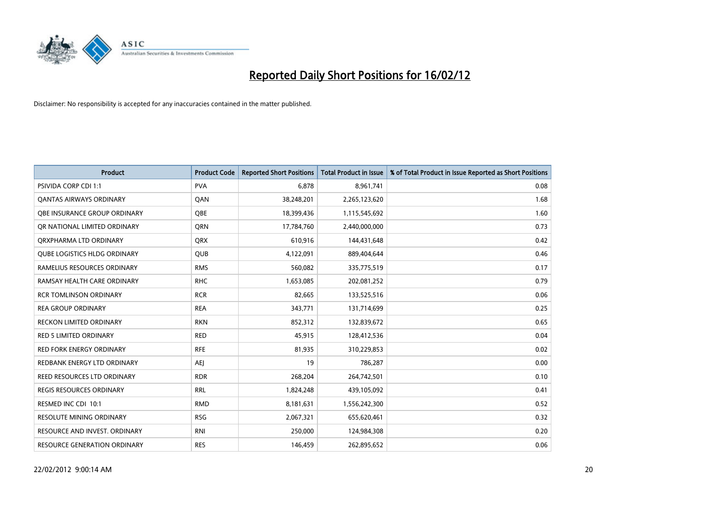

| <b>Product</b>                      | <b>Product Code</b> | <b>Reported Short Positions</b> | <b>Total Product in Issue</b> | % of Total Product in Issue Reported as Short Positions |
|-------------------------------------|---------------------|---------------------------------|-------------------------------|---------------------------------------------------------|
| <b>PSIVIDA CORP CDI 1:1</b>         | <b>PVA</b>          | 6.878                           | 8,961,741                     | 0.08                                                    |
| <b>QANTAS AIRWAYS ORDINARY</b>      | QAN                 | 38,248,201                      | 2,265,123,620                 | 1.68                                                    |
| <b>QBE INSURANCE GROUP ORDINARY</b> | <b>OBE</b>          | 18,399,436                      | 1,115,545,692                 | 1.60                                                    |
| OR NATIONAL LIMITED ORDINARY        | <b>ORN</b>          | 17,784,760                      | 2,440,000,000                 | 0.73                                                    |
| ORXPHARMA LTD ORDINARY              | <b>QRX</b>          | 610,916                         | 144,431,648                   | 0.42                                                    |
| <b>QUBE LOGISTICS HLDG ORDINARY</b> | <b>QUB</b>          | 4,122,091                       | 889,404,644                   | 0.46                                                    |
| RAMELIUS RESOURCES ORDINARY         | <b>RMS</b>          | 560,082                         | 335,775,519                   | 0.17                                                    |
| RAMSAY HEALTH CARE ORDINARY         | <b>RHC</b>          | 1,653,085                       | 202,081,252                   | 0.79                                                    |
| <b>RCR TOMLINSON ORDINARY</b>       | <b>RCR</b>          | 82,665                          | 133,525,516                   | 0.06                                                    |
| <b>REA GROUP ORDINARY</b>           | <b>REA</b>          | 343,771                         | 131,714,699                   | 0.25                                                    |
| <b>RECKON LIMITED ORDINARY</b>      | <b>RKN</b>          | 852,312                         | 132,839,672                   | 0.65                                                    |
| RED 5 LIMITED ORDINARY              | <b>RED</b>          | 45,915                          | 128,412,536                   | 0.04                                                    |
| <b>RED FORK ENERGY ORDINARY</b>     | <b>RFE</b>          | 81,935                          | 310,229,853                   | 0.02                                                    |
| REDBANK ENERGY LTD ORDINARY         | AEJ                 | 19                              | 786,287                       | 0.00                                                    |
| <b>REED RESOURCES LTD ORDINARY</b>  | <b>RDR</b>          | 268,204                         | 264,742,501                   | 0.10                                                    |
| <b>REGIS RESOURCES ORDINARY</b>     | RRL                 | 1,824,248                       | 439,105,092                   | 0.41                                                    |
| RESMED INC CDI 10:1                 | <b>RMD</b>          | 8,181,631                       | 1,556,242,300                 | 0.52                                                    |
| <b>RESOLUTE MINING ORDINARY</b>     | <b>RSG</b>          | 2,067,321                       | 655,620,461                   | 0.32                                                    |
| RESOURCE AND INVEST. ORDINARY       | <b>RNI</b>          | 250,000                         | 124,984,308                   | 0.20                                                    |
| RESOURCE GENERATION ORDINARY        | <b>RES</b>          | 146,459                         | 262,895,652                   | 0.06                                                    |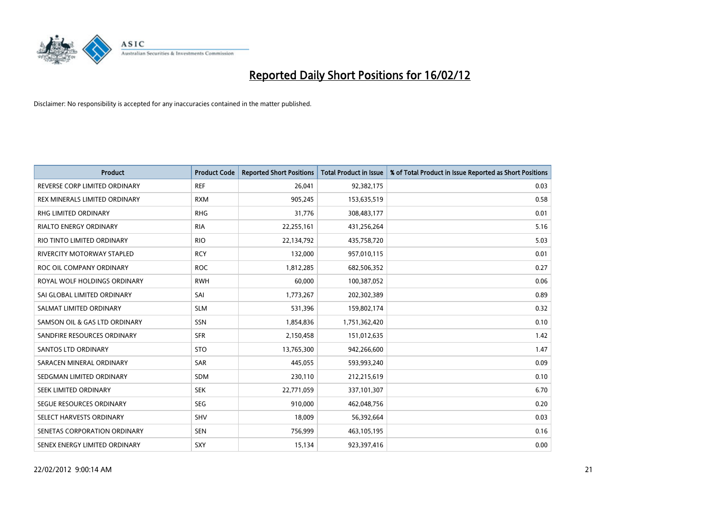

| <b>Product</b>                    | <b>Product Code</b> | <b>Reported Short Positions</b> | <b>Total Product in Issue</b> | % of Total Product in Issue Reported as Short Positions |
|-----------------------------------|---------------------|---------------------------------|-------------------------------|---------------------------------------------------------|
| REVERSE CORP LIMITED ORDINARY     | <b>REF</b>          | 26,041                          | 92,382,175                    | 0.03                                                    |
| REX MINERALS LIMITED ORDINARY     | <b>RXM</b>          | 905,245                         | 153,635,519                   | 0.58                                                    |
| RHG LIMITED ORDINARY              | <b>RHG</b>          | 31,776                          | 308,483,177                   | 0.01                                                    |
| RIALTO ENERGY ORDINARY            | <b>RIA</b>          | 22,255,161                      | 431,256,264                   | 5.16                                                    |
| RIO TINTO LIMITED ORDINARY        | <b>RIO</b>          | 22,134,792                      | 435,758,720                   | 5.03                                                    |
| <b>RIVERCITY MOTORWAY STAPLED</b> | <b>RCY</b>          | 132,000                         | 957,010,115                   | 0.01                                                    |
| ROC OIL COMPANY ORDINARY          | <b>ROC</b>          | 1,812,285                       | 682,506,352                   | 0.27                                                    |
| ROYAL WOLF HOLDINGS ORDINARY      | <b>RWH</b>          | 60,000                          | 100,387,052                   | 0.06                                                    |
| SAI GLOBAL LIMITED ORDINARY       | SAI                 | 1,773,267                       | 202,302,389                   | 0.89                                                    |
| SALMAT LIMITED ORDINARY           | <b>SLM</b>          | 531,396                         | 159,802,174                   | 0.32                                                    |
| SAMSON OIL & GAS LTD ORDINARY     | SSN                 | 1,854,836                       | 1,751,362,420                 | 0.10                                                    |
| SANDFIRE RESOURCES ORDINARY       | <b>SFR</b>          | 2,150,458                       | 151,012,635                   | 1.42                                                    |
| <b>SANTOS LTD ORDINARY</b>        | <b>STO</b>          | 13,765,300                      | 942,266,600                   | 1.47                                                    |
| SARACEN MINERAL ORDINARY          | <b>SAR</b>          | 445,055                         | 593,993,240                   | 0.09                                                    |
| SEDGMAN LIMITED ORDINARY          | <b>SDM</b>          | 230,110                         | 212,215,619                   | 0.10                                                    |
| SEEK LIMITED ORDINARY             | <b>SEK</b>          | 22,771,059                      | 337,101,307                   | 6.70                                                    |
| SEGUE RESOURCES ORDINARY          | <b>SEG</b>          | 910,000                         | 462,048,756                   | 0.20                                                    |
| SELECT HARVESTS ORDINARY          | SHV                 | 18,009                          | 56,392,664                    | 0.03                                                    |
| SENETAS CORPORATION ORDINARY      | <b>SEN</b>          | 756,999                         | 463,105,195                   | 0.16                                                    |
| SENEX ENERGY LIMITED ORDINARY     | SXY                 | 15,134                          | 923,397,416                   | 0.00                                                    |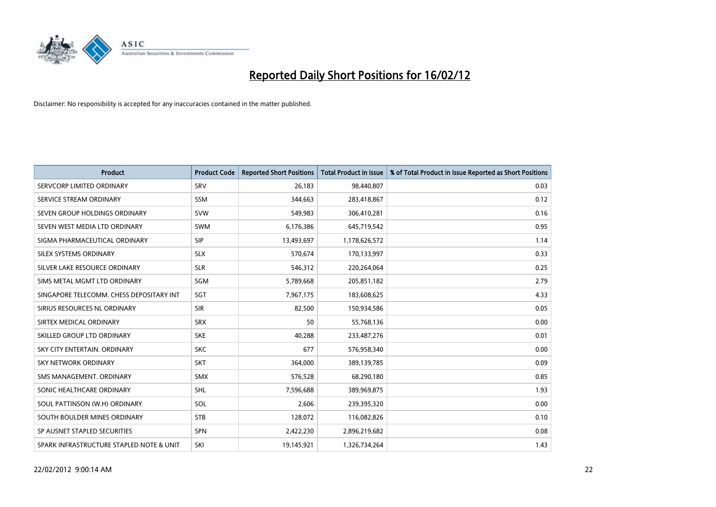

| <b>Product</b>                           | <b>Product Code</b> | <b>Reported Short Positions</b> | <b>Total Product in Issue</b> | % of Total Product in Issue Reported as Short Positions |
|------------------------------------------|---------------------|---------------------------------|-------------------------------|---------------------------------------------------------|
| SERVCORP LIMITED ORDINARY                | SRV                 | 26,183                          | 98,440,807                    | 0.03                                                    |
| SERVICE STREAM ORDINARY                  | SSM                 | 344,663                         | 283,418,867                   | 0.12                                                    |
| SEVEN GROUP HOLDINGS ORDINARY            | <b>SVW</b>          | 549,983                         | 306,410,281                   | 0.16                                                    |
| SEVEN WEST MEDIA LTD ORDINARY            | <b>SWM</b>          | 6,176,386                       | 645,719,542                   | 0.95                                                    |
| SIGMA PHARMACEUTICAL ORDINARY            | <b>SIP</b>          | 13,493,697                      | 1,178,626,572                 | 1.14                                                    |
| SILEX SYSTEMS ORDINARY                   | <b>SLX</b>          | 570,674                         | 170,133,997                   | 0.33                                                    |
| SILVER LAKE RESOURCE ORDINARY            | <b>SLR</b>          | 546,312                         | 220,264,064                   | 0.25                                                    |
| SIMS METAL MGMT LTD ORDINARY             | SGM                 | 5,789,668                       | 205,851,182                   | 2.79                                                    |
| SINGAPORE TELECOMM. CHESS DEPOSITARY INT | SGT                 | 7,967,175                       | 183,608,625                   | 4.33                                                    |
| SIRIUS RESOURCES NL ORDINARY             | <b>SIR</b>          | 82,500                          | 150,934,586                   | 0.05                                                    |
| SIRTEX MEDICAL ORDINARY                  | <b>SRX</b>          | 50                              | 55,768,136                    | 0.00                                                    |
| SKILLED GROUP LTD ORDINARY               | <b>SKE</b>          | 40,288                          | 233,487,276                   | 0.01                                                    |
| SKY CITY ENTERTAIN, ORDINARY             | <b>SKC</b>          | 677                             | 576,958,340                   | 0.00                                                    |
| <b>SKY NETWORK ORDINARY</b>              | <b>SKT</b>          | 364,000                         | 389,139,785                   | 0.09                                                    |
| SMS MANAGEMENT, ORDINARY                 | <b>SMX</b>          | 576,528                         | 68,290,180                    | 0.85                                                    |
| SONIC HEALTHCARE ORDINARY                | <b>SHL</b>          | 7,596,688                       | 389,969,875                   | 1.93                                                    |
| SOUL PATTINSON (W.H) ORDINARY            | SOL                 | 2,606                           | 239,395,320                   | 0.00                                                    |
| SOUTH BOULDER MINES ORDINARY             | <b>STB</b>          | 128,072                         | 116,082,826                   | 0.10                                                    |
| SP AUSNET STAPLED SECURITIES             | <b>SPN</b>          | 2,422,230                       | 2,896,219,682                 | 0.08                                                    |
| SPARK INFRASTRUCTURE STAPLED NOTE & UNIT | SKI                 | 19,145,921                      | 1,326,734,264                 | 1.43                                                    |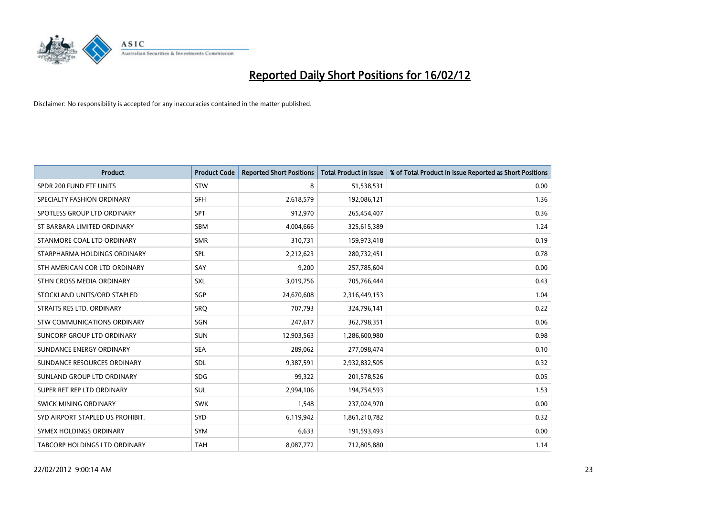

| <b>Product</b>                   | <b>Product Code</b> | <b>Reported Short Positions</b> | <b>Total Product in Issue</b> | % of Total Product in Issue Reported as Short Positions |
|----------------------------------|---------------------|---------------------------------|-------------------------------|---------------------------------------------------------|
| SPDR 200 FUND ETF UNITS          | <b>STW</b>          | 8                               | 51,538,531                    | 0.00                                                    |
| SPECIALTY FASHION ORDINARY       | <b>SFH</b>          | 2,618,579                       | 192,086,121                   | 1.36                                                    |
| SPOTLESS GROUP LTD ORDINARY      | <b>SPT</b>          | 912,970                         | 265,454,407                   | 0.36                                                    |
| ST BARBARA LIMITED ORDINARY      | <b>SBM</b>          | 4,004,666                       | 325,615,389                   | 1.24                                                    |
| STANMORE COAL LTD ORDINARY       | <b>SMR</b>          | 310,731                         | 159,973,418                   | 0.19                                                    |
| STARPHARMA HOLDINGS ORDINARY     | <b>SPL</b>          | 2,212,623                       | 280,732,451                   | 0.78                                                    |
| STH AMERICAN COR LTD ORDINARY    | SAY                 | 9,200                           | 257,785,604                   | 0.00                                                    |
| STHN CROSS MEDIA ORDINARY        | <b>SXL</b>          | 3,019,756                       | 705,766,444                   | 0.43                                                    |
| STOCKLAND UNITS/ORD STAPLED      | <b>SGP</b>          | 24,670,608                      | 2,316,449,153                 | 1.04                                                    |
| STRAITS RES LTD. ORDINARY        | <b>SRQ</b>          | 707,793                         | 324,796,141                   | 0.22                                                    |
| STW COMMUNICATIONS ORDINARY      | SGN                 | 247,617                         | 362,798,351                   | 0.06                                                    |
| SUNCORP GROUP LTD ORDINARY       | <b>SUN</b>          | 12,903,563                      | 1,286,600,980                 | 0.98                                                    |
| SUNDANCE ENERGY ORDINARY         | <b>SEA</b>          | 289,062                         | 277,098,474                   | 0.10                                                    |
| SUNDANCE RESOURCES ORDINARY      | SDL                 | 9,387,591                       | 2,932,832,505                 | 0.32                                                    |
| SUNLAND GROUP LTD ORDINARY       | <b>SDG</b>          | 99,322                          | 201,578,526                   | 0.05                                                    |
| SUPER RET REP LTD ORDINARY       | SUL                 | 2,994,106                       | 194,754,593                   | 1.53                                                    |
| SWICK MINING ORDINARY            | <b>SWK</b>          | 1,548                           | 237,024,970                   | 0.00                                                    |
| SYD AIRPORT STAPLED US PROHIBIT. | <b>SYD</b>          | 6,119,942                       | 1,861,210,782                 | 0.32                                                    |
| SYMEX HOLDINGS ORDINARY          | <b>SYM</b>          | 6,633                           | 191,593,493                   | 0.00                                                    |
| TABCORP HOLDINGS LTD ORDINARY    | <b>TAH</b>          | 8,087,772                       | 712,805,880                   | 1.14                                                    |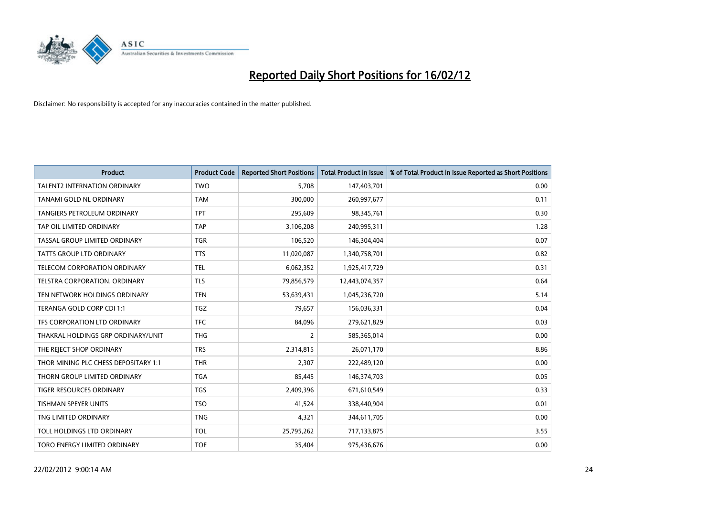

| <b>Product</b>                       | <b>Product Code</b> | <b>Reported Short Positions</b> | <b>Total Product in Issue</b> | % of Total Product in Issue Reported as Short Positions |
|--------------------------------------|---------------------|---------------------------------|-------------------------------|---------------------------------------------------------|
| <b>TALENT2 INTERNATION ORDINARY</b>  | <b>TWO</b>          | 5.708                           | 147,403,701                   | 0.00                                                    |
| TANAMI GOLD NL ORDINARY              | <b>TAM</b>          | 300,000                         | 260,997,677                   | 0.11                                                    |
| <b>TANGIERS PETROLEUM ORDINARY</b>   | <b>TPT</b>          | 295,609                         | 98,345,761                    | 0.30                                                    |
| TAP OIL LIMITED ORDINARY             | <b>TAP</b>          | 3,106,208                       | 240,995,311                   | 1.28                                                    |
| TASSAL GROUP LIMITED ORDINARY        | <b>TGR</b>          | 106,520                         | 146,304,404                   | 0.07                                                    |
| <b>TATTS GROUP LTD ORDINARY</b>      | <b>TTS</b>          | 11,020,087                      | 1,340,758,701                 | 0.82                                                    |
| TELECOM CORPORATION ORDINARY         | <b>TEL</b>          | 6,062,352                       | 1,925,417,729                 | 0.31                                                    |
| TELSTRA CORPORATION, ORDINARY        | <b>TLS</b>          | 79,856,579                      | 12,443,074,357                | 0.64                                                    |
| TEN NETWORK HOLDINGS ORDINARY        | <b>TEN</b>          | 53,639,431                      | 1,045,236,720                 | 5.14                                                    |
| TERANGA GOLD CORP CDI 1:1            | <b>TGZ</b>          | 79,657                          | 156,036,331                   | 0.04                                                    |
| TFS CORPORATION LTD ORDINARY         | <b>TFC</b>          | 84,096                          | 279,621,829                   | 0.03                                                    |
| THAKRAL HOLDINGS GRP ORDINARY/UNIT   | <b>THG</b>          | $\overline{2}$                  | 585,365,014                   | 0.00                                                    |
| THE REJECT SHOP ORDINARY             | <b>TRS</b>          | 2,314,815                       | 26,071,170                    | 8.86                                                    |
| THOR MINING PLC CHESS DEPOSITARY 1:1 | <b>THR</b>          | 2,307                           | 222,489,120                   | 0.00                                                    |
| THORN GROUP LIMITED ORDINARY         | <b>TGA</b>          | 85,445                          | 146,374,703                   | 0.05                                                    |
| TIGER RESOURCES ORDINARY             | <b>TGS</b>          | 2,409,396                       | 671,610,549                   | 0.33                                                    |
| TISHMAN SPEYER UNITS                 | <b>TSO</b>          | 41,524                          | 338,440,904                   | 0.01                                                    |
| TNG LIMITED ORDINARY                 | <b>TNG</b>          | 4,321                           | 344,611,705                   | 0.00                                                    |
| TOLL HOLDINGS LTD ORDINARY           | <b>TOL</b>          | 25,795,262                      | 717,133,875                   | 3.55                                                    |
| TORO ENERGY LIMITED ORDINARY         | <b>TOE</b>          | 35,404                          | 975,436,676                   | 0.00                                                    |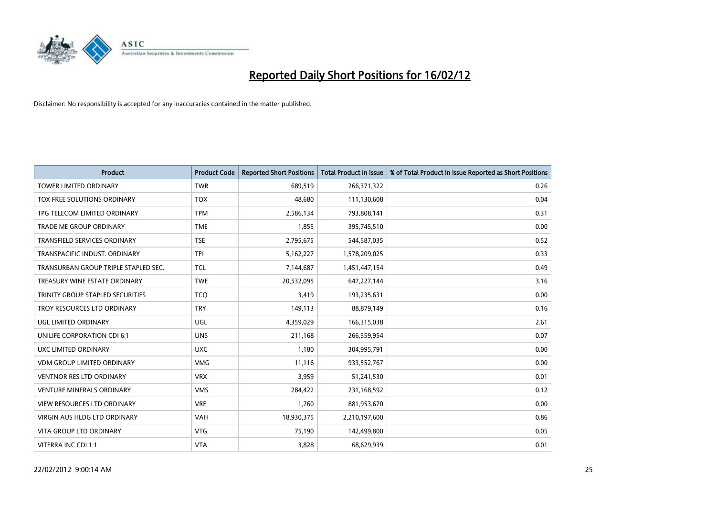

| <b>Product</b>                       | <b>Product Code</b> | <b>Reported Short Positions</b> | <b>Total Product in Issue</b> | % of Total Product in Issue Reported as Short Positions |
|--------------------------------------|---------------------|---------------------------------|-------------------------------|---------------------------------------------------------|
| <b>TOWER LIMITED ORDINARY</b>        | <b>TWR</b>          | 689,519                         | 266,371,322                   | 0.26                                                    |
| TOX FREE SOLUTIONS ORDINARY          | <b>TOX</b>          | 48,680                          | 111,130,608                   | 0.04                                                    |
| TPG TELECOM LIMITED ORDINARY         | <b>TPM</b>          | 2,586,134                       | 793,808,141                   | 0.31                                                    |
| TRADE ME GROUP ORDINARY              | <b>TME</b>          | 1,855                           | 395,745,510                   | 0.00                                                    |
| <b>TRANSFIELD SERVICES ORDINARY</b>  | <b>TSE</b>          | 2,795,675                       | 544,587,035                   | 0.52                                                    |
| TRANSPACIFIC INDUST, ORDINARY        | <b>TPI</b>          | 5,162,227                       | 1,578,209,025                 | 0.33                                                    |
| TRANSURBAN GROUP TRIPLE STAPLED SEC. | <b>TCL</b>          | 7,144,687                       | 1,451,447,154                 | 0.49                                                    |
| TREASURY WINE ESTATE ORDINARY        | <b>TWE</b>          | 20,532,095                      | 647,227,144                   | 3.16                                                    |
| TRINITY GROUP STAPLED SECURITIES     | <b>TCO</b>          | 3,419                           | 193,235,631                   | 0.00                                                    |
| TROY RESOURCES LTD ORDINARY          | <b>TRY</b>          | 149,113                         | 88,879,149                    | 0.16                                                    |
| UGL LIMITED ORDINARY                 | UGL                 | 4,359,029                       | 166,315,038                   | 2.61                                                    |
| UNILIFE CORPORATION CDI 6:1          | <b>UNS</b>          | 211,168                         | 266,559,954                   | 0.07                                                    |
| UXC LIMITED ORDINARY                 | <b>UXC</b>          | 1,180                           | 304,995,791                   | 0.00                                                    |
| <b>VDM GROUP LIMITED ORDINARY</b>    | <b>VMG</b>          | 11,116                          | 933,552,767                   | 0.00                                                    |
| <b>VENTNOR RES LTD ORDINARY</b>      | <b>VRX</b>          | 3,959                           | 51,241,530                    | 0.01                                                    |
| <b>VENTURE MINERALS ORDINARY</b>     | <b>VMS</b>          | 284,422                         | 231,168,592                   | 0.12                                                    |
| VIEW RESOURCES LTD ORDINARY          | <b>VRE</b>          | 1,760                           | 881,953,670                   | 0.00                                                    |
| VIRGIN AUS HLDG LTD ORDINARY         | <b>VAH</b>          | 18,930,375                      | 2,210,197,600                 | 0.86                                                    |
| <b>VITA GROUP LTD ORDINARY</b>       | <b>VTG</b>          | 75,190                          | 142,499,800                   | 0.05                                                    |
| VITERRA INC CDI 1:1                  | <b>VTA</b>          | 3,828                           | 68,629,939                    | 0.01                                                    |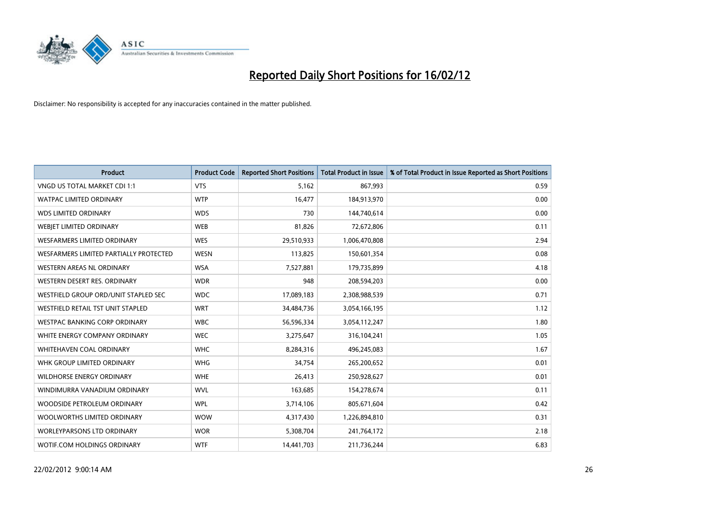

| <b>Product</b>                         | <b>Product Code</b> | <b>Reported Short Positions</b> | Total Product in Issue | % of Total Product in Issue Reported as Short Positions |
|----------------------------------------|---------------------|---------------------------------|------------------------|---------------------------------------------------------|
| VNGD US TOTAL MARKET CDI 1:1           | <b>VTS</b>          | 5,162                           | 867,993                | 0.59                                                    |
| <b>WATPAC LIMITED ORDINARY</b>         | <b>WTP</b>          | 16,477                          | 184,913,970            | 0.00                                                    |
| <b>WDS LIMITED ORDINARY</b>            | <b>WDS</b>          | 730                             | 144,740,614            | 0.00                                                    |
| <b>WEBIET LIMITED ORDINARY</b>         | <b>WEB</b>          | 81,826                          | 72,672,806             | 0.11                                                    |
| <b>WESFARMERS LIMITED ORDINARY</b>     | <b>WES</b>          | 29,510,933                      | 1,006,470,808          | 2.94                                                    |
| WESFARMERS LIMITED PARTIALLY PROTECTED | <b>WESN</b>         | 113,825                         | 150,601,354            | 0.08                                                    |
| <b>WESTERN AREAS NL ORDINARY</b>       | <b>WSA</b>          | 7,527,881                       | 179,735,899            | 4.18                                                    |
| WESTERN DESERT RES. ORDINARY           | <b>WDR</b>          | 948                             | 208,594,203            | 0.00                                                    |
| WESTFIELD GROUP ORD/UNIT STAPLED SEC   | <b>WDC</b>          | 17,089,183                      | 2,308,988,539          | 0.71                                                    |
| WESTFIELD RETAIL TST UNIT STAPLED      | <b>WRT</b>          | 34,484,736                      | 3,054,166,195          | 1.12                                                    |
| WESTPAC BANKING CORP ORDINARY          | <b>WBC</b>          | 56,596,334                      | 3,054,112,247          | 1.80                                                    |
| WHITE ENERGY COMPANY ORDINARY          | <b>WEC</b>          | 3,275,647                       | 316,104,241            | 1.05                                                    |
| <b>WHITEHAVEN COAL ORDINARY</b>        | <b>WHC</b>          | 8,284,316                       | 496,245,083            | 1.67                                                    |
| WHK GROUP LIMITED ORDINARY             | <b>WHG</b>          | 34,754                          | 265,200,652            | 0.01                                                    |
| <b>WILDHORSE ENERGY ORDINARY</b>       | <b>WHE</b>          | 26,413                          | 250,928,627            | 0.01                                                    |
| WINDIMURRA VANADIUM ORDINARY           | <b>WVL</b>          | 163,685                         | 154,278,674            | 0.11                                                    |
| WOODSIDE PETROLEUM ORDINARY            | <b>WPL</b>          | 3,714,106                       | 805,671,604            | 0.42                                                    |
| WOOLWORTHS LIMITED ORDINARY            | <b>WOW</b>          | 4,317,430                       | 1,226,894,810          | 0.31                                                    |
| WORLEYPARSONS LTD ORDINARY             | <b>WOR</b>          | 5,308,704                       | 241,764,172            | 2.18                                                    |
| <b>WOTIF.COM HOLDINGS ORDINARY</b>     | <b>WTF</b>          | 14,441,703                      | 211,736,244            | 6.83                                                    |